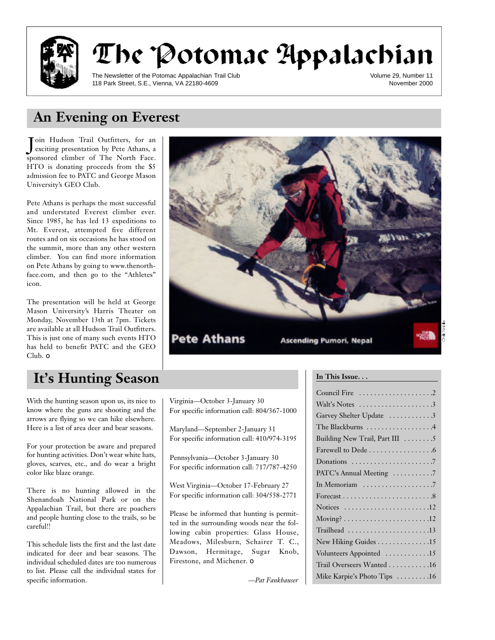

# The Potomac Appalachian

The Newsletter of the Potomac Appalachian Trail Club 118 Park Street, S.E., Vienna, VA 22180-4609

Volume 29, Number 11 November 2000

# **An Evening on Everest**

Join Hudson Trail Outfitters, for an<br>Jexciting presentation by Pete Athans, a Toin Hudson Trail Outfitters, for an sponsored climber of The North Face. HTO is donating proceeds from the \$5 admission fee to PATC and George Mason University's GEO Club.

Pete Athans is perhaps the most successful and understated Everest climber ever. Since 1985, he has led 13 expeditions to Mt. Everest, attempted five different routes and on six occasions he has stood on the summit, more than any other western climber. You can find more information on Pete Athans by going to www.thenorthface.com, and then go to the "Athletes" icon.

The presentation will be held at George Mason University's Harris Theater on Monday, November 13th at 7pm. Tickets are available at all Hudson Trail Outfitters. This is just one of many such events HTO has held to benefit PATC and the GEO Club. ❏

# It's Hunting Season **In This Issue.**..

With the hunting season upon us, its nice to know where the guns are shooting and the arrows are flying so we can hike elsewhere. Here is a list of area deer and bear seasons.

For your protection be aware and prepared for hunting activities. Don't wear white hats, gloves, scarves, etc., and do wear a bright color like blaze orange.

There is no hunting allowed in the Shenandoah National Park or on the Appalachian Trail, but there are poachers and people hunting close to the trails, so be careful!!

This schedule lists the first and the last date indicated for deer and bear seasons. The individual scheduled dates are too numerous to list. Please call the individual states for specific information.



**Pete Athans** 

Virginia—October 3-January 30

Maryland—September 2-January 31 For specific information call: 410/974-3195

Pennsylvania—October 3-January 30 For specific information call: 717/787-4250

West Virginia—October 17-February 27 For specific information call: 304/558-2771

Please be informed that hunting is permitted in the surrounding woods near the following cabin properties: Glass House, Meadows, Milesburn, Schairer T. C., Dawson, Hermitage, Sugar Knob,

*—Pat Fankhauser*

Firestone, and Michener. □

For specific information call: 804/367-1000

**Ascending Pumori, Nepal** 

| Walt's Notes $\dots\dots\dots\dots\dots\dots3$                     |
|--------------------------------------------------------------------|
| Garvey Shelter Update 3                                            |
| The Blackburns 4                                                   |
| Building New Trail, Part III 5                                     |
| Farewell to Dede 6                                                 |
|                                                                    |
| PATC's Annual Meeting 7                                            |
|                                                                    |
|                                                                    |
| Notices $\dots \dots \dots \dots \dots \dots \dots \dots \dots 12$ |
|                                                                    |
| Trailhead 13                                                       |
| New Hiking Guides 15                                               |
| Volunteers Appointed 15                                            |
| Trail Overseers Wanted 16                                          |
| Mike Karpie's Photo Tips 16                                        |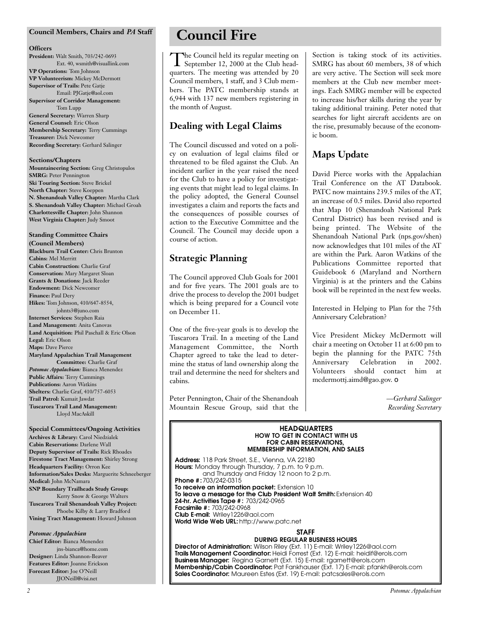#### **Council Members, Chairs and** *PA* **Staff**

#### **Officers**

**President:** Walt Smith, 703/242-0693 Ext. 40, wsmith@visuallink.com **VP Operations:** Tom Johnson **VP Volunteerism:** Mickey McDermott **Supervisor of Trails:** Pete Gatje

#### Email: PJGatje@aol.com **Supervisor of Corridor Management:**

Tom Lupp **General Secretary:** Warren Sharp **General Counsel:** Eric Olson **Membership Secretary:** Terry Cummings **Treasurer:** Dick Newcomer **Recording Secretary:** Gerhard Salinger

#### **Sections/Chapters**

**Mountaineering Section:** Greg Christopulos **SMRG: Peter Pennington Ski Touring Section:** Steve Brickel **North Chapter:** Steve Koeppen **N. Shenandoah Valley Chapter:** Martha Clark **S. Shenandoah Valley Chapter:** Michael Groah **Charlottesville Chapter:** John Shannon **West Virginia Chapter:** Judy Smoot

## **Standing Committee Chairs**

**(Council Members) Blackburn Trail Center:** Chris Brunton **Cabins:** Mel Merritt **Cabin Construction:** Charlie Graf **Conservation:** Mary Margaret Sloan **Grants & Donations:** Jack Reeder **Endowment:** Dick Newcomer **Finance:** Paul Dery **Hikes:** Tom Johnson, 410/647-8554, johnts3@juno.com **Internet Services:** Stephen Raia **Land Management:** Anita Canovas **Land Acquisition:** Phil Paschall & Eric Olson **Legal:** Eric Olson **Maps:** Dave Pierce **Maryland Appalachian Trail Management Committee:** Charlie Graf *Potomac Appalachian:* Bianca Menendez **Public Affairs:** Terry Cummings **Publications:** Aaron Watkins **Shelters:** Charlie Graf, 410/757-6053 **Trail Patrol:** Kumait Jawdat **Tuscarora Trail Land Management:** Lloyd MacAskill

#### **Special Committees/Ongoing Activities Archives & Library:** Carol Niedzialek

**Cabin Reservations:** Darlene Wall **Deputy Supervisor of Trails:** Rick Rhoades **Firestone Tract Management:** Shirley Strong **Headquarters Facility:** Orron Kee **Information/Sales Desks:** Marguerite Schneeberger **Medical:** John McNamara **SNP Boundary Trailheads Study Group:** Kerry Snow & George Walters **Tuscarora Trail Shenandoah Valley Project:** Phoebe Kilby & Larry Bradford **Vining Tract Management:** Howard Johnson

#### *Potomac Appalachian*

**Chief Editor:** Bianca Menendez jns-bianca@home.com **Designer:** Linda Shannon-Beaver **Features Editor:** Joanne Erickson **Forecast Editor:** Joe O'Neill JJONeill@visi.net

# **Council Fire**

The Council held its regular meeting on<br>September 12, 2000 at the Club head-<br>quarters. The meeting was attended by 20 he Council held its regular meeting on September 12, 2000 at the Club head-Council members, 1 staff, and 3 Club members. The PATC membership stands at 6,944 with 137 new members registering in the month of August.

## **Dealing with Legal Claims**

The Council discussed and voted on a policy on evaluation of legal claims filed or threatened to be filed against the Club. An incident earlier in the year raised the need for the Club to have a policy for investigating events that might lead to legal claims. In the policy adopted, the General Counsel investigates a claim and reports the facts and the consequences of possible courses of action to the Executive Committee and the Council. The Council may decide upon a course of action.

### **Strategic Planning**

The Council approved Club Goals for 2001 and for five years. The 2001 goals are to drive the process to develop the 2001 budget which is being prepared for a Council vote on December 11.

One of the five-year goals is to develop the Tuscarora Trail. In a meeting of the Land Management Committee, the North Chapter agreed to take the lead to determine the status of land ownership along the trail and determine the need for shelters and cabins.

Peter Pennington, Chair of the Shenandoah Mountain Rescue Group, said that the

Section is taking stock of its activities. SMRG has about 60 members, 38 of which are very active. The Section will seek more members at the Club new member meetings. Each SMRG member will be expected to increase his/her skills during the year by taking additional training. Peter noted that searches for light aircraft accidents are on the rise, presumably because of the economic boom.

## **Maps Update**

David Pierce works with the Appalachian Trail Conference on the AT Databook. PATC now maintains 239.5 miles of the AT, an increase of 0.5 miles. David also reported that Map 10 (Shenandoah National Park Central District) has been revised and is being printed. The Website of the Shenandoah National Park (nps.gov/shen) now acknowledges that 101 miles of the AT are within the Park. Aaron Watkins of the Publications Committee reported that Guidebook 6 (Maryland and Northern Virginia) is at the printers and the Cabins book will be reprinted in the next few weeks.

Interested in Helping to Plan for the 75th Anniversary Celebration?

Vice President Mickey McDermott will chair a meeting on October 11 at 6:00 pm to begin the planning for the PATC 75th Anniversary Celebration in 2002. Volunteers should contact him at mcdermottj.aimd@gao.gov. ❏

> *—Gerhard Salinger Recording Secretary*

#### **HEADQUARTERS**<br>HOW TO GET IN CONTACT WITH US **FOR CABIN RESERVATIONS. FOR CABIN RESERVATIONS,**

**MEMBERSHIP INFORMATION, AND SALES Address:** 118 Park Street, S.E., Vienna, VA 22180 **Hours:** Monday through Thursday, 7 p.m. to 9 p.m. and Thursday and Friday 12 noon to 2 p.m. **Phone #: 703/242-0315<br>To receive an information packet: Extension 10** To leave a message for the Club President Walt Smith: Extension 40 **24-hr. Activities Tape #: 703/242-0965 Facsimile #: 703/242-0968 Club E-mail: Wrilev1226@aol.com Club E-mail:** Wriley1226@aol.com **World Wide Web URL:** http://www.patc.net

# **STAFF<br>DURING REGULAR BUSINESS HOURS**

D'ONING NEOGER IN BOOILIEGG HOURG<br>Wilson Riley (Ext. 11) F-mail: Wriley11 **Director of Administration:** Wilson Riley (Ext. 11) E-mail: Wriley1226@aol.com Business Manager: Regina Garnett (Ext. 15) E-mail: rgarnett@erols.com **Membership/Cabin Coordinator:** Pat Fankhauser (Ext. 17) E-mail: pfankh@erols.com **Membership/Cabin Coordinator:** Pat Fankhauser (Ext. 17) E-mail: pfankh@erols.com **Sales Coordinator:** Maureen Estes (Ext. 19) E-mail: patcsales@erols.com

*2 Potomac Appalachian*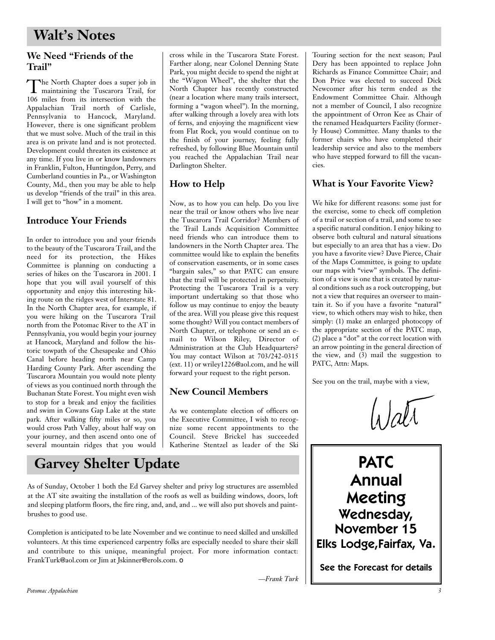## **We Need "Friends of the Trail"**

The North Chapter does a super job in<br>maintaining the Tuscarora Trail, for The North Chapter does a super job in 106 miles from its intersection with the Appalachian Trail north of Carlisle, Pennsylvania to Hancock, Maryland. However, there is one significant problem that we must solve. Much of the trail in this area is on private land and is not protected. Development could threaten its existence at any time. If you live in or know landowners in Franklin, Fulton, Huntingdon, Perry, and Cumberland counties in Pa., or Washington County, Md., then you may be able to help us develop "friends of the trail" in this area. I will get to "how" in a moment.

## **Introduce Your Friends**

In order to introduce you and your friends to the beauty of the Tuscarora Trail, and the need for its protection, the Hikes Committee is planning on conducting a series of hikes on the Tuscarora in 2001. I hope that you will avail yourself of this opportunity and enjoy this interesting hiking route on the ridges west of Interstate 81. In the North Chapter area, for example, if you were hiking on the Tuscarora Trail north from the Potomac River to the AT in Pennsylvania, you would begin your journey at Hancock, Maryland and follow the historic towpath of the Chesapeake and Ohio Canal before heading north near Camp Harding County Park. After ascending the Tuscarora Mountain you would note plenty of views as you continued north through the Buchanan State Forest. You might even wish to stop for a break and enjoy the facilities and swim in Cowans Gap Lake at the state park. After walking fifty miles or so, you would cross Path Valley, about half way on your journey, and then ascend onto one of several mountain ridges that you would

cross while in the Tuscarora State Forest. Farther along, near Colonel Denning State Park, you might decide to spend the night at the "Wagon Wheel", the shelter that the North Chapter has recently constructed (near a location where many trails intersect, forming a "wagon wheel"). In the morning, after walking through a lovely area with lots of ferns, and enjoying the magnificent view from Flat Rock, you would continue on to the finish of your journey, feeling fully refreshed, by following Blue Mountain until you reached the Appalachian Trail near Darlington Shelter.

## **How to Help**

Now, as to how you can help. Do you live near the trail or know others who live near the Tuscarora Trail Corridor? Members of the Trail Lands Acquisition Committee need friends who can introduce them to landowners in the North Chapter area. The committee would like to explain the benefits of conservation easements, or in some cases "bargain sales," so that PATC can ensure that the trail will be protected in perpetuity. Protecting the Tuscarora Trail is a very important undertaking so that those who follow us may continue to enjoy the beauty of the area. Will you please give this request some thought? Will you contact members of North Chapter, or telephone or send an email to Wilson Riley, Director of Administration at the Club Headquarters? You may contact Wilson at 703/242-0315 (ext. 11) or wriley1226@aol.com, and he will forward your request to the right person.

## **New Council Members**

As we contemplate election of officers on the Executive Committee, I wish to recognize some recent appointments to the Council. Steve Brickel has succeeded Katherine Stentzel as leader of the Ski

*—Frank Turk*

# **Garvey Shelter Update**

As of Sunday, October 1 both the Ed Garvey shelter and privy log structures are assembled at the AT site awaiting the installation of the roofs as well as building windows, doors, loft and sleeping platform floors, the fire ring, and, and, and ... we will also put shovels and paintbrushes to good use.

Completion is anticipated to be late November and we continue to need skilled and unskilled volunteers. At this time experienced carpentry folks are especially needed to share their skill and contribute to this unique, meaningful project. For more information contact: FrankTurk@aol.com or Jim at Jskinner@erols.com. ❏

Touring section for the next season; Paul Dery has been appointed to replace John Richards as Finance Committee Chair; and Don Price was elected to succeed Dick Newcomer after his term ended as the Endowment Committee Chair. Although not a member of Council, I also recognize the appointment of Orron Kee as Chair of the renamed Headquarters Facility (formerly House) Committee. Many thanks to the former chairs who have completed their leadership service and also to the members who have stepped forward to fill the vacancies.

## **What is Your Favorite View?**

We hike for different reasons: some just for the exercise, some to check off completion of a trail or section of a trail, and some to see a specific natural condition. I enjoy hiking to observe both cultural and natural situations but especially to an area that has a view. Do you have a favorite view? Dave Pierce, Chair of the Maps Committee, is going to update our maps with "view" symbols. The definition of a view is one that is created by natural conditions such as a rock outcropping, but not a view that requires an overseer to maintain it. So if you have a favorite "natural" view, to which others may wish to hike, then simply: (1) make an enlarged photocopy of the appropriate section of the PATC map, (2) place a "dot" at the correct location with an arrow pointing in the general direction of the view, and (3) mail the suggestion to PATC, Attn: Maps.

See you on the trail, maybe with a view,

PATC Annual Meeting Wednesday, November 15 Elks Lodge,Fairfax, Va.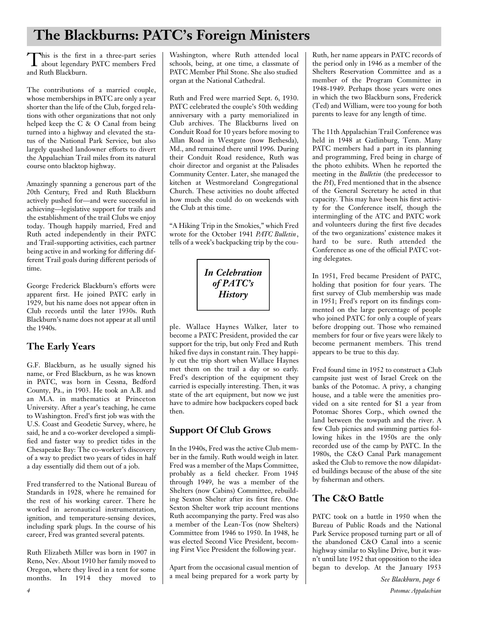# **The Blackburns: PATC's Foreign Ministers**

This is the first in a three-part series<br>about legendary PATC members Fred his is the first in a three-part series and Ruth Blackburn.

The contributions of a married couple, whose memberships in PATC are only a year shorter than the life of the Club, forged relations with other organizations that not only helped keep the C & O Canal from being turned into a highway and elevated the status of the National Park Service, but also largely quashed landowner efforts to divert the Appalachian Trail miles from its natural course onto blacktop highway.

Amazingly spanning a generous part of the 20th Century, Fred and Ruth Blackburn actively pushed for—and were successful in achieving—legislative support for trails and the establishment of the trail Clubs we enjoy today. Though happily married, Fred and Ruth acted independently in their PATC and Trail-supporting activities, each partner being active in and working for differing different Trail goals during different periods of time.

George Frederick Blackburn's efforts were apparent first. He joined PATC early in 1929, but his name does not appear often in Club records until the later 1930s. Ruth Blackburn's name does not appear at all until the 1940s.

## **The Early Years**

G.F. Blackburn, as he usually signed his name, or Fred Blackburn, as he was known in PATC, was born in Cessna, Bedford County, Pa., in 1903. He took an A.B. and an M.A. in mathematics at Princeton University. After a year's teaching, he came to Washington. Fred's first job was with the U.S. Coast and Geodetic Survey, where, he said, he and a co-worker developed a simplified and faster way to predict tides in the Chesapeake Bay: The co-worker's discovery of a way to predict two years of tides in half a day essentially did them out of a job.

Fred transferred to the National Bureau of Standards in 1928, where he remained for the rest of his working career. There he worked in aeronautical instrumentation, ignition, and temperature-sensing devices, including spark plugs. In the course of his career, Fred was granted several patents.

Ruth Elizabeth Miller was born in 1907 in Reno, Nev. About 1910 her family moved to Oregon, where they lived in a tent for some months. In 1914 they moved to

Washington, where Ruth attended local schools, being, at one time, a classmate of PATC Member Phil Stone. She also studied organ at the National Cathedral.

Ruth and Fred were married Sept. 6, 1930. PATC celebrated the couple's 50th wedding anniversary with a party memorialized in Club archives. The Blackburns lived on Conduit Road for 10 years before moving to Allan Road in Westgate (now Bethesda), Md., and remained there until 1996. During their Conduit Road residence, Ruth was choir director and organist at the Palisades Community Center. Later, she managed the kitchen at Westmoreland Congregational Church. These activities no doubt affected how much she could do on weekends with the Club at this time.

"A Hiking Trip in the Smokies," which Fred wrote for the October 1941 *PATC Bulletin*, tells of a week's backpacking trip by the cou-



ple. Wallace Haynes Walker, later to become a PATC President, provided the car support for the trip, but only Fred and Ruth hiked five days in constant rain. They happily cut the trip short when Wallace Haynes met them on the trail a day or so early. Fred's description of the equipment they carried is especially interesting. Then, it was state of the art equipment, but now we just have to admire how backpackers coped back then.

## **Support Of Club Grows**

In the 1940s, Fred was the active Club member in the family. Ruth would weigh in later. Fred was a member of the Maps Committee, p robably as a field checker. From 1945 through 1949, he was a member of the Shelters (now Cabins) Committee, rebuilding Sexton Shelter after its first fire. One Sexton Shelter work trip account mentions Ruth accompanying the party. Fred was also a member of the Lean-Tos (now Shelters) Committee from 1946 to 1950. In 1948, he was elected Second Vice President, becoming First Vice President the following year.

Apart from the occasional casual mention of a meal being prepared for a work party by

Ruth, her name appears in PATC records of the period only in 1946 as a member of the Shelters Reservation Committee and as a member of the Program Committee in 1948-1949. Perhaps those years were ones in which the two Blackburn sons, Frederick (Ted) and William, were too young for both parents to leave for any length of time.

The 11th Appalachian Trail Conference was held in 1948 at Gatlinburg, Tenn. Many PATC members had a part in its planning and programming, Fred being in charge of the photo exhibits. When he reported the meeting in the *Bulletin* (the predecessor to the *PA*), Fred mentioned that in the absence of the General Secretary he acted in that capacity. This may have been his first activity for the Conference itself, though the intermingling of the ATC and PATC work and volunteers during the first five decades of the two organizations' existence makes it hard to be sure. Ruth attended the Conference as one of the official PATC voting delegates.

In 1951, Fred became President of PATC, holding that position for four years. The first survey of Club membership was made in 1951; Fred's report on its findings commented on the large percentage of people who joined PATC for only a couple of years before dropping out. Those who remained members for four or five years were likely to become permanent members. This trend appears to be true to this day.

Fred found time in 1952 to construct a Club campsite just west of Israel Creek on the banks of the Potomac. A privy, a changing house, and a table were the amenities provided on a site rented for \$1 a year from Potomac Shores Corp., which owned the land between the towpath and the river. A few Club picnics and swimming parties following hikes in the 1950s are the only recorded use of the camp by PATC. In the 1980s, the C&O Canal Park management asked the Club to remove the now dilapidated buildings because of the abuse of the site by fisherman and others.

## **The C&O Battle**

PATC took on a battle in 1950 when the Bureau of Public Roads and the National Park Service proposed turning part or all of the abandoned C&O Canal into a scenic highway similar to Skyline Drive, but it wasn't until late 1952 that opposition to the idea began to develop. At the January 1953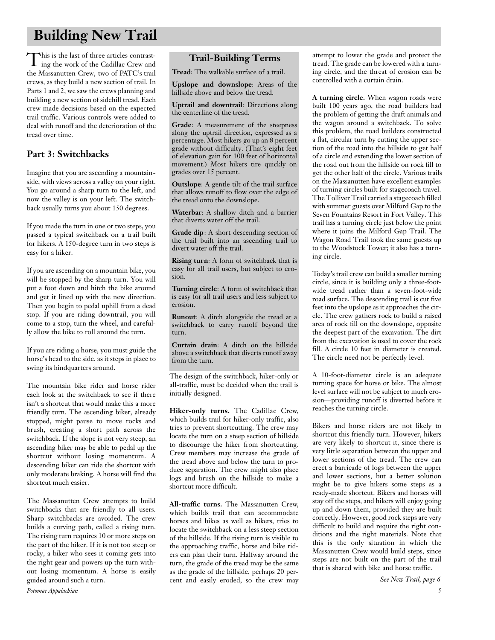# **Building New Trail**

This is the last of three articles contrast-<br>ing the work of the Cadillac Crew and his is the last of three articles contrastthe Massanutten Crew, two of PATC's trail crews, as they build a new section of trail. In Parts 1 and 2, we saw the crews planning and building a new section of sidehill tread. Each crew made decisions based on the expected trail traffic. Various controls were added to deal with runoff and the deterioration of the tread over time.

## **Part 3: Switchbacks**

Imagine that you are ascending a mountainside, with views across a valley on your right. You go around a sharp turn to the left, and now the valley is on your left. The switchback usually turns you about 150 degrees.

If you made the turn in one or two steps, you passed a typical switchback on a trail built for hikers. A 150-degree turn in two steps is easy for a hiker.

If you are ascending on a mountain bike, you will be stopped by the sharp turn. You will put a foot down and hitch the bike around and get it lined up with the new direction. Then you begin to pedal uphill from a dead stop. If you are riding downtrail, you will come to a stop, turn the wheel, and carefully allow the bike to roll around the turn.

If you are riding a horse, you must guide the horse's head to the side, as it steps in place to swing its hindquarters around.

The mountain bike rider and horse rider each look at the switchback to see if there isn't a shortcut that would make this a more friendly turn. The ascending biker, already stopped, might pause to move rocks and brush, creating a short path across the switchback. If the slope is not very steep, an ascending biker may be able to pedal up the shortcut without losing momentum. A descending biker can ride the shortcut with only moderate braking. A horse will find the shortcut much easier.

The Massanutten Crew attempts to build switchbacks that are friendly to all users. Sharp switchbacks are avoided. The crew builds a curving path, called a rising turn. The rising turn requires 10 or more steps on the part of the hiker. If it is not too steep or rocky, a biker who sees it coming gets into the right gear and powers up the turn without losing momentum. A horse is easily guided around such a turn.

**Trail-Building Terms**

**Tread**: The walkable surface of a trail.

**Upslope and downslope**: Areas of the hillside above and below the tread.

**Uptrail and downtrail**: Directions along the centerline of the tread.

**Grade**: A measurement of the steepness along the uptrail direction, expressed as a percentage. Most hikers go up an 8 percent grade without difficulty. (That's eight feet of elevation gain for 100 feet of horizontal movement.) Most hikers tire quickly on grades over 15 percent.

**Outslope**: A gentle tilt of the trail surface that allows runoff to flow over the edge of the tread onto the downslope.

**Waterbar**: A shallow ditch and a barrier that diverts water off the trail.

**Grade dip**: A short descending section of the trail built into an ascending trail to divert water off the trail.

**Rising turn**: A form of switchback that is easy for all trail users, but subject to erosion.

**Turning circle**: A form of switchback that is easy for all trail users and less subject to erosion.

**Runout**: A ditch alongside the tread at a switchback to carry runoff beyond the turn.

**Curtain drain**: A ditch on the hillside above a switchback that diverts runoff away from the turn.

The design of the switchback, hiker-only or all-traffic, must be decided when the trail is initially designed.

Hiker-only turns. The Cadillac Crew, which builds trail for hiker-only traffic, also tries to prevent shortcutting. The crew may locate the turn on a steep section of hillside to discourage the hiker from shortcutting. Crew members may increase the grade of the tread above and below the turn to produce separation. The crew might also place logs and brush on the hillside to make a shortcut more difficult.

**All-traffic turns.** The Massanutten Crew, which builds trail that can accommodate horses and bikes as well as hikers, tries to locate the switchback on a less steep section of the hillside. If the rising turn is visible to the approaching traffic, horse and bike riders can plan their turn. Halfway around the turn, the grade of the tread may be the same as the grade of the hillside, perhaps 20 percent and easily eroded, so the crew may

attempt to lower the grade and protect the tread. The grade can be lowered with a turning circle, and the threat of erosion can be controlled with a curtain drain.

**A turning circle.** When wagon roads were built 100 years ago, the road builders had the problem of getting the draft animals and the wagon around a switchback. To solve this problem, the road builders constructed a flat, circular turn by cutting the upper section of the road into the hillside to get half of a circle and extending the lower section of the road out from the hillside on rock fill to get the other half of the circle. Various trails on the Massanutten have excellent examples of turning circles built for stagecoach travel. The Tolliver Trail carried a stagecoach filled with summer guests over Milford Gap to the Seven Fountains Resort in Fort Valley. This trail has a turning circle just below the point where it joins the Milford Gap Trail. The Wagon Road Trail took the same guests up to the Woodstock Tower; it also has a turning circle.

Today's trail crew can build a smaller turning circle, since it is building only a three-footwide tread rather than a seven-foot-wide road surface. The descending trail is cut five feet into the upslope as it approaches the circle. The crew gathers rock to build a raised area of rock fill on the downslope, opposite the deepest part of the excavation. The dirt from the excavation is used to cover the rock fill. A circle 10 feet in diameter is created. The circle need not be perfectly level.

A 10-foot-diameter circle is an adequate turning space for horse or bike. The almost level surface will not be subject to much erosion—providing runoff is diverted before it reaches the turning circle.

Bikers and horse riders are not likely to shortcut this friendly turn. However, hikers are very likely to shortcut it, since there is very little separation between the upper and lower sections of the tread. The crew can erect a barricade of logs between the upper and lower sections, but a better solution might be to give hikers some steps as a ready-made shortcut. Bikers and horses will stay off the steps, and hikers will enjoy going up and down them, provided they are built correctly. However, good rock steps are very difficult to build and require the right conditions and the right materials. Note that this is the only situation in which the Massanutten Crew would build steps, since steps are not built on the part of the trail that is shared with bike and horse traffic.

*See New Trail, page 6*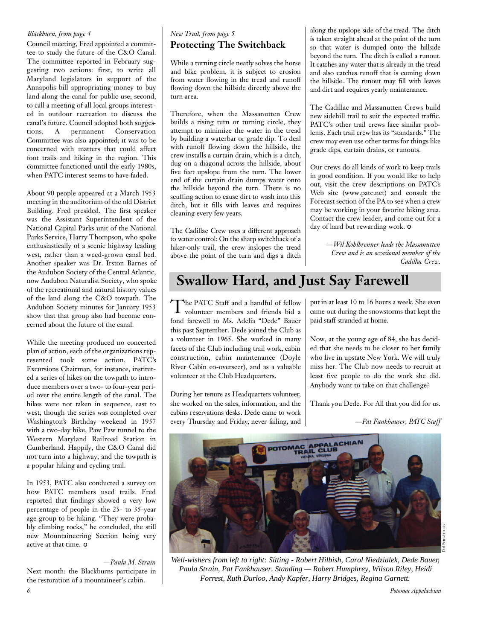#### *Blackburn, from page 4*

Council meeting, Fred appointed a committee to study the future of the C&O Canal. The committee reported in February suggesting two actions: first, to write all Maryland legislators in support of the Annapolis bill appropriating money to buy land along the canal for public use; second, to call a meeting of all local groups interested in outdoor recreation to discuss the canal's future. Council adopted both suggestions. A permanent Conservation Committee was also appointed; it was to be concerned with matters that could affect foot trails and hiking in the region. This committee functioned until the early 1980s, when PATC interest seems to have faded.

About 90 people appeared at a March 1953 meeting in the auditorium of the old District Building. Fred presided. The first speaker was the Assistant Superintendent of the National Capital Parks unit of the National Parks Service, Harry Thompson, who spoke enthusiastically of a scenic highway leading west, rather than a weed-grown canal bed. Another speaker was Dr. Irston Barnes of the Audubon Society of the Central Atlantic, now Audubon Naturalist Society, who spoke of the recreational and natural history values of the land along the C&O towpath. The Audubon Society minutes for January 1953 show that that group also had become concerned about the future of the canal.

While the meeting produced no concerted plan of action, each of the organizations represented took some action. PATC's Excursions Chairman, for instance, instituted a series of hikes on the towpath to introduce members over a two- to four-year period over the entire length of the canal. The hikes were not taken in sequence, east to west, though the series was completed over Washington's Birthday weekend in 1957 with a two-day hike, Paw Paw tunnel to the Western Maryland Railroad Station in Cumberland. Happily, the C&O Canal did not turn into a highway, and the towpath is a popular hiking and cycling trail.

In 1953, PATC also conducted a survey on how PATC members used trails. Fred reported that findings showed a very low percentage of people in the 25- to 35-year age group to be hiking. "They were probably climbing rocks," he concluded, the still new Mountaineering Section being very active at that time. ❏

*—Paula M. Strain*

Next month: the Blackburns participate in the restoration of a mountaineer's cabin.

## **Protecting The Switchback** *New Trail, from page 5*

While a turning circle neatly solves the horse and bike problem, it is subject to erosion from water flowing in the tread and runoff flowing down the hillside directly above the turn area.

Therefore, when the Massanutten Crew builds a rising turn or turning circle, they attempt to minimize the water in the tread by building a waterbar or grade dip. To deal with runoff flowing down the hillside, the crew installs a curtain drain, which is a ditch, dug on a diagonal across the hillside, about five feet upslope from the turn. The lower end of the curtain drain dumps water onto the hillside beyond the turn. There is no scuffing action to cause dirt to wash into this ditch, but it fills with leaves and requires cleaning every few years.

The Cadillac Crew uses a different approach to water control: On the sharp switchback of a hiker-only trail, the crew inslopes the tread above the point of the turn and digs a ditch along the upslope side of the tread. The ditch is taken straight ahead at the point of the turn so that water is dumped onto the hillside beyond the turn. The ditch is called a runout. It catches any water that is already in the tread and also catches runoff that is coming down the hillside. The runout may fill with leaves and dirt and requires yearly maintenance.

The Cadillac and Massanutten Crews build new sidehill trail to suit the expected traffic. PATC's other trail crews face similar problems. Each trail crew has its "standards." The crew may even use other terms for things like grade dips, curtain drains, or runouts.

Our crews do all kinds of work to keep trails in good condition. If you would like to help out, visit the crew descriptions on PATC's Web site (www.patc.net) and consult the Forecast section of the PA to see when a crew may be working in your favorite hiking area. Contact the crew leader, and come out for a day of hard but rewarding work. ❏

> *—Wil Kohlbrenner leads the Massanutten Crew and is an occasional member of the Cadillac Crew.*

# **Swallow Hard, and Just Say Farewell**

The PATC Staff and a handful of fellow<br>volunteer members and friends bid a The PATC Staff and a handful of fellow fond farewell to Ms. Adelia "Dede" Bauer this past September. Dede joined the Club as a volunteer in 1965. She worked in many facets of the Club including trail work, cabin construction, cabin maintenance (Doyle River Cabin co-overseer), and as a valuable volunteer at the Club Headquarters.

During her tenure as Headquarters volunteer, she worked on the sales, information, and the cabins reservations desks. Dede came to work every Thursday and Friday, never failing, and put in at least 10 to 16 hours a week. She even came out during the snowstorms that kept the paid staff stranded at home.

Now, at the young age of 84, she has decided that she needs to be closer to her family who live in upstate New York. We will truly miss her. The Club now needs to recruit at least five people to do the work she did. Anybody want to take on that challenge?

Thank you Dede. For All that you did for us.

*—Pat Fankhauser, PATC Staff*



*Well-wishers from left to right: Sitting - Robert Hilbish, Carol Niedzialek, Dede Bauer, Paula Strain, Pat Fankhauser. Standing — Robert Humphrey, Wilson Riley, Heidi Forrest, Ruth Durloo, Andy Kapfer, Harry Bridges, Regina Garnett.*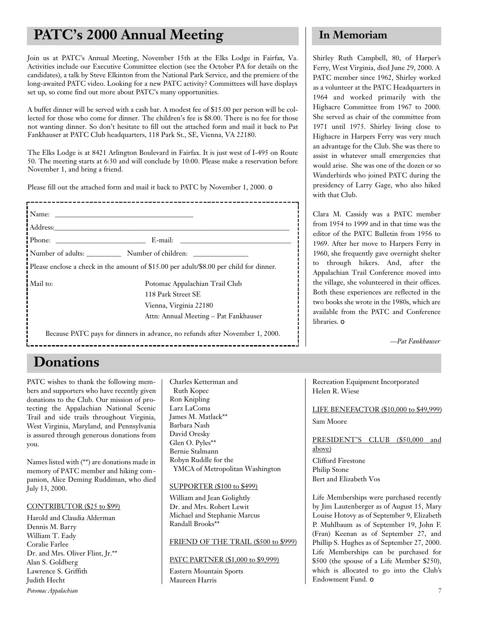# **PATC's 2000 Annual Meeting In Memoriam**

Join us at PATC's Annual Meeting, November 15th at the Elks Lodge in Fairfax, Va. Activities include our Executive Committee election (see the October PA for details on the candidates), a talk by Steve Elkinton from the National Park Service, and the premiere of the long-awaited PATC video. Looking for a new PATC activity? Committees will have displays set up, so come find out more about PATC's many opportunities.

A buffet dinner will be served with a cash bar. A modest fee of \$15.00 per person will be collected for those who come for dinner. The children's fee is \$8.00. There is no fee for those not wanting dinner. So don't hesitate to fill out the attached form and mail it back to Pat Fankhauser at PATC Club headquarters, 118 Park St., SE, Vienna, VA 22180.

The Elks Lodge is at 8421 Arlington Boulevard in Fairfax. It is just west of I-495 on Route 50. The meeting starts at 6:30 and will conclude by 10:00. Please make a reservation before November 1, and bring a friend.

Please fill out the attached form and mail it back to PATC by November 1, 2000. □

| $\blacksquare$ Phone: $\blacksquare$ | $E$ -mail:                                                                                    |
|--------------------------------------|-----------------------------------------------------------------------------------------------|
|                                      | Number of adults: Number of children:                                                         |
|                                      | <b>Please enclose a check in the amount of \$15.00 per adult/\$8.00 per child for dinner.</b> |
| i Mail to:                           | Potomac Appalachian Trail Club                                                                |
|                                      |                                                                                               |
|                                      | 118 Park Street SE                                                                            |
|                                      | Vienna, Virginia 22180                                                                        |

Shirley Ruth Campbell, 80, of Harper's Ferry, West Virginia, died June 29, 2000. A PATC member since 1962, Shirley worked as a volunteer at the PATC Headquarters in 1964 and worked primarily with the Highacre Committee from 1967 to 2000. She served as chair of the committee from 1971 until 1975. Shirley living close to Highacre in Harpers Ferry was very much an advantage for the Club. She was there to assist in whatever small emergencies that would arise. She was one of the dozen or so Wanderbirds who joined PATC during the presidency of Larry Gage, who also hiked with that Club.

Clara M. Cassidy was a PATC member from 1954 to 1999 and in that time was the editor of the PATC Bulletin from 1956 to 1969. After her move to Harpers Ferry in 1960, she frequently gave overnight shelter to through hikers. And, after the Appalachian Trail Conference moved into the village, she volunteered in their offices. Both these experiences are reflected in the two books she wrote in the 1980s, which are available from the PATC and Conference libraries. ❏

*—Pat Fankhauser*

# **Donations**

PATC wishes to thank the following members and supporters who have recently given donations to the Club. Our mission of protecting the Appalachian National Scenic Trail and side trails throughout Virginia, West Virginia, Maryland, and Pennsylvania is assured through generous donations from you.

Names listed with (\*\*) are donations made in memory of PATC member and hiking companion, Alice Deming Ruddiman, who died July 13, 2000.

#### CONTRIBUTOR (\$25 to \$99)

*Potomac Appalachian* Harold and Claudia Alderman Dennis M. Barry William T. Eady Coralie Farlee Dr. and Mrs. Oliver Flint, Jr.\*\* Alan S. Goldberg Lawrence S. Griffith Judith Hecht

Charles Ketterman and Ruth Kopec Ron Knipling Larz LaComa James M. Matlack\*\* Barbara Nash David Oresky Glen O. Pyles\*\* Bernie Stalmann Robyn Ruddle for the YMCA of Metropolitan Washington

#### SUPPORTER (\$100 to \$499)

William and Jean Golightly Dr. and Mrs. Robert Lewit Michael and Stephanie Marcus Randall Brooks\*\*

#### FRIEND OF THE TRAIL (\$500 to \$999)

PATC PARTNER (\$1,000 to \$9,999) Eastern Mountain Sports Maureen Harris

Recreation Equipment Incorporated Helen R. Wiese

#### LIFE BENEFACTOR (\$10,000 to \$49,999)

Sam Moore

PRESIDENT'S CLUB (\$50,000 and above) Clifford Firestone Philip Stone Bert and Elizabeth Vos

Life Memberships were purchased recently by Jim Lautenberger as of August 15, Mary Louise Hotovy as of September 9, Elizabeth P. Muhlbaum as of September 19, John F. (Fran) Keenan as of September 27, and Phillip S. Hughes as of September 27, 2000. Life Memberships can be purchased for \$500 (the spouse of a Life Member \$250), which is allocated to go into the Club's Endowment Fund. ❏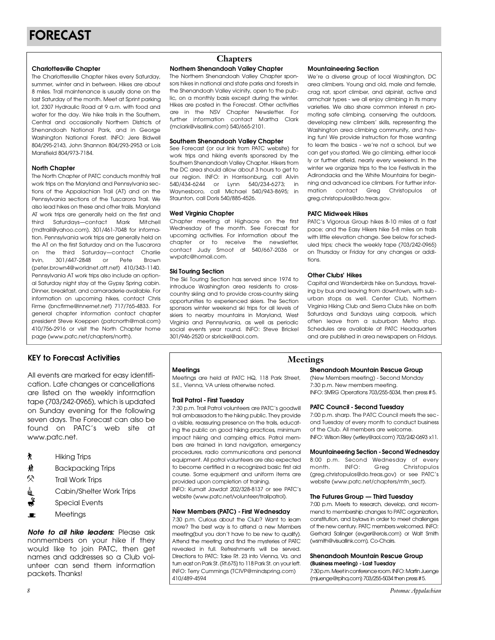**Charlottesville Chapter**<br>The Charlottesville Chapter hikes every Saturday, summer winter and in between. Hikes are about 8 miles. Trail maintenance is usually done on the last Saturday of the month. Meet at Sprint parking lot, 2307 Hydraulic Road at 9 a.m. with food and water for the day. We hike trails in the Southern, Central and occasionally Northern Districts of Shenandoah National Park, and in George Washington National Forest. INFO: Jere Bidwell 804/295-2143, John Shannon 804/293-2953 or Lois 804/2702110/0011110111101111001/27021000112010<br>March 11004/0707104  $M$ ansfield 804/973-7184.

**North Chapter**<br>The North Chapter of PATC conducts monthly trail work trips on the Maryland and Pennsylvania sections of the Appalachian Trail (AT) and on the Pennsylvania sections of the Tuscarora Trail. We also lead hikes on these and other trails. Maryland AT work trips are generally held on the first and third Saturdays-contact Mark Mitchell (mdtrail@yahoo.com), 301/461-7048 for information. Pennsylvania work trips are generally held on the AT on the first Saturday and on the Tuscarora the AT on the first Saturday and on the Tuscarora on the third saturday compact Charlie Irvin, 301/447-2848 or Pete Brown<br>(peter.brown4@worldnet.att.net) 410/343-1140. Pennsylvania AT work trips also include an optional Saturday night stay at the Gypsy Spring cabin. Dinner, breakfast, and camaraderie available. For information on upcoming hikes, contact Chris Firme (bncfirme@innernet.net) 717/765-4833 For general chapter information contact chapter president Steve Koeppen (patcnorth@mail.com) 410/756-2916 or visit the North Chapter home  $\frac{1}{2}$ page (www.patc.net/chapters/north).

# **KEY to Forecast Activities Meetings**

All events are marked for easy identifi-<br>cation. Late changes or cancellations are listed on the weekly information tape (703/242-0965), which is updated on Sunday evening for the following seven days. The Forecast can also be found on PATC's web site at found on PATC's web site at www.pato.not.

- Ť.
- Hiking Trips Ĥ. Backpacking Trips
- 52
- Trail Work Trips  $C$  dishifter Change  $\overline{C}$
- Special Events
- Meetings  $\blacksquare$

*Note to all hike leaders:* Please ask nonmembers on your hike if they would like to join PATC, then get names and addresses so a Club volunteer can send them information unteer can send mom information packets. Thanks!

## **Chapters**

**Northern Shenandoah Valley Chapter**<br>The Northern Shenandoah Valley Chapter spon-

sors hikes in national and state parks and forests in the Shenandoah Valley vicinity, open to the public, on a monthly basis except during the winter. Hikes are posted in the Forecast. Other activities. are in the NSV Chapter Newsletter. For further information contact Martha Clark (mclark@visallink.com) 540/665-2101.  $(m_n)$  is also measure measure model in  $(n-1)$  or  $n=0$  ,  $\sigma$  of  $\sigma$   $\sigma$   $\sigma$ 

## **Southern Shenandoah Valley Chapter**<br>See Forecast (or our link from PATC website) for

work trips and hiking events sponsored by the Southern Shenandoah Valley Chapter, Hikers from the DC area should allow about 3 hours to get to our region. INFO: in Harrisonburg, call Alvin 540/434-6244 or Lynn 540/234-6273; in Waynesboro, call Michael 540/943-8695; in way not bot of the state form of the state of the state of the state of the state of the state of the state of the state of the state of the state of the state of the state of the state of the state of the state of the sta  $S$  staunton, call Done 640, 886-4526.

**West Virginia Chapter** Wednesday of the month. See Forecast for upcoming activities. For information about the chapter or to receive the newsletter. contact Judy Smoot at 540/667-2036 or wynatc@homail.com. www.patcom.com.com.

**Ski Touring Section**<br>The Ski Touring Section has served since 1974 to introduce Washington area residents to crosscountry skiing and to provide cross-country skiing opportunities to experienced skiers. The Section sponsors winter weekend ski trips for all levels of skiers to nearby mountains in Maryland, West Virginia and Pennsylvania, as well as periodic social events vear round. INFO: Steve Brickel 301/946-2520 or sbrickel@gol.com. 301/946-2520 or sbrickel@aol.com.

**Mountaineering Section**<br>We're a diverse group of local Washington, DC area climbers. Young and old, male and female, crag rat, sport climber, and alpinist, active and armchair types - we all enjoy climbing in its many varieties. We also share common interest n promoting safe climbing, conserving the outdoors, developing new climbers' skills, representing the Washington area climbing community, and having fun! We provide instruction for those wanting to learn the basics - we're not a school, but we can get you started. We go climbing, either locally or further afield, nearly every weekend. In the winter we organize trips to the Ice Festivals in the Adirondacks and the White Mountains for beainning and advanced ice climbers. For further information contact Greg Christopulos at mation contact Greg Christopulos at greg.christopulos@do.treas.gov.

**PATC Midweek Hikes** pace; and the Easy Hikers hike 5-8 miles on trails with little elevation change. See below for scheduled trips; check the weekly tape (703/242-0965) uled trips; check the weekly tape (703/242-0768)<br>-- Thomas James Citatan (800-0006) about 200-000141 on Thursday or Friday for any changes or addi- $\cdots$ 

**Other Clubs' Hikes**<br>Capital and Wanderbirds hike on Sundays, traveling by bus and leaving from downtown, with suburban stops as well. Center Club, Northern Virginia Hiking Club and Sierra Clubs hike on both Saturdays and Sundays using carpools, which often leave from a suburban Metro stop. Schedules are available at PATC Headquarters Schedules are available at PATC Headquarters and are published in area newspapers on Fridays.

Meetings are held at PATC HQ, 118 Park Street, Meetings are held at PATC HQ, 118 Park Street, S.E., Vienna, VA unless otherwise noted.

**Trail Patrol - First Tuesday** trail ambassadors to the hiking public. They provide a visible, reassuring presence on the trails, educating the public on good hiking practices, minimum impact hiking and camping ethics. Patrol members are trained in land navigation, emergency procedures, radio communications and personal equipment. All patrol volunteers are also expected to become certified in a recognized basic first aid course. Some equipment and uniform items are provided upon completion of training.

INFO: Kumait Jawdat 202/328-8137 or see PATC's INFO: Kumain Sumuur 202/328-8137 or see PAT C 8<br>Ushaita Ausus aata nati jaluntaarittailmatta N website (www.patelleer/volunteer/irailpatro lyn

# **New Members (PATC) - First Wednesday**

more? The best way is to attend a new Members meeting (but you don't have to be new to qualify). Attend the meeting and find the mysteries of PATC revealed in full. Refreshments will be served. Directions to PATC: Take Rt. 23 into Vienna, Va. and turn east on Park St. (Rt.675) to 118 Park St. on your left. tan road form anten (there) to 1181 anten on your left.<br>INIFO: Text. Outpark as (TOI) (D@ppindersing.com) INFO: Teny Cummings (TCIVI Cimmusphing.com) 410/489-4594

# **Shenandoah Mountain Rescue Group**<br>(New Members meeting) - Second Monday

7:30 p.m. New members meeting. 7:30 p.m. New members meeting.<br>INFO: CMDC Operations 702:055 502 INFO: SMARG Operations 703/255-5034, then press # 5.

**PATC Council - Second Tuesday**<br>7:00 p.m. sharp. The PATC Council meets the second Tuesday of every month to conduct business of the Club All members are welcome of the Club. All members are welcome.<br>INFO: Wilson Dilo: 6. rile: @aol.com) 702/04  $\sum_{i=1}^{n}$  is completed by  $\sum_{i=1}^{n}$  (which is constantly  $\sum_{i=1}^{n}$  constantly  $\sum_{i=1}^{n}$ 

**Mountaineering Section - Second Wednesday** 8:00 p.m. second Meditorus, of every month. INFO: Greg Christopulos<br>(greg.christopulos@do.treas.gov) or see PATC's (grogionicopalococionicacigo) or coo 17 so c website (www.patc.net/chapters/mm\_sect).

**The Futures Group — Third Tuesday**<br>7:00 p.m. Meets to research, develop, and recommend to membership changes to PATC organization, constitution, and bylaws in order to meet challenges of the new century. PATC members welcomed. INFO: Gerhard Salinger (evger@erols.com) or Walt Smith (wsmith@visuallink.com), Co-Chairs. (wsmith@visuallink.com), Co-Chairs.

# **Shenandoah Mountain Rescue Group**

 $7:30$ p.m. Meet in conference room. INFO: Martin Juenae 7:30 p.m. moet in conference room. In cannot room. Igo  $(1)$  juen igo di pinqibon i $j$  700/255-5034 then press # 5.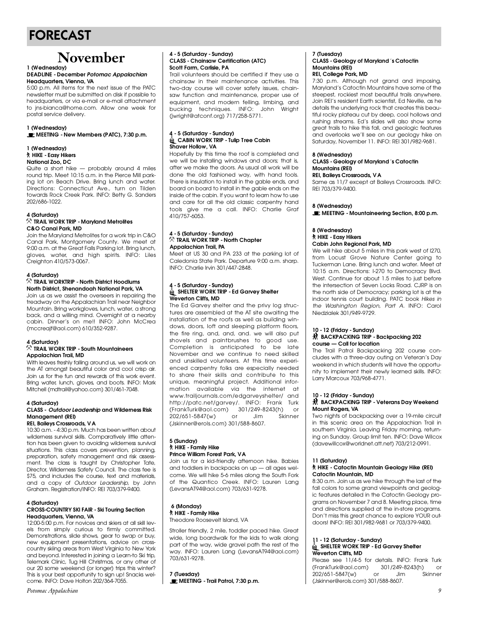# FORECAST

# **November**

#### **DEADLINE - December Potomac Appalachian Headquarters**, Vienna, VA

5:00 p.m. All items for the next issue of the PATC newsletter must be submitted on disk if possible to headauarters or via e-mail or e-mail attachment to ins-bianca@home.com. Allow one week for postal service deliverv. postal service delivery.

## **1** (Wednesday)

**MEETING - New Members (PATC), 7:30 p.m.**

## **1 (Wednesday) National Zoo, DC**

Quite a short hike - probably around 4 miles round trip. Meet 10:15 a.m. in the Pierce Mill parking lot on Beach Drive. Bring lunch and water. Directions: Connecticut Ave., turn on Tilden towards Rock Creek Park. INFO: Betty G. Sanders 202/686-1022. 202/686-1022.

#### **4 (Saturday)**<br> $\%$  TRAIL WORK TRIP - Maryland Metrolites **C&O Canal Park, MD**

Join the Maryland Metrolites for a work trip in C&O Canal Park, Montgomery County. We meet at 9:00 a.m. at the Great Falls Parking lot. Bring lunch, gloves, water, and high spirits. INFO: Liles gloves, water, and high spirits. Into Elios Creighton 410/573-0067.

### **4 (Saturday) North District, Shenandoah National Park, VA**

Join us as we assist the overseers in repairing the treadway on the Appalachian Trail near Neighbor Mountain. Bring workgloves, lunch, water, a strong back, and a willing mind. Overnight at a nearby cabin. Dinner's on me!! INFO: John McCrea cabin. Dinner's on men information medical  $(m\texttt{S3} \cup \texttt{S4} \cup \texttt{S5} \cup \texttt{S6} \cup \texttt{S6} \cup \texttt{S7} \cup \texttt{S7} \cup \texttt{S8} \cup \texttt{S8} \cup \texttt{S8} \cup \texttt{S8} \cup \texttt{S8} \cup \texttt{S8} \cup \texttt{S8} \cup \texttt{S8} \cup \texttt{S8} \cup \texttt{S8} \cup \texttt{S8} \cup \texttt{S8} \cup \texttt{S8} \cup \texttt{S8} \cup \texttt{S8} \cup \texttt{S8} \cup \texttt{S8} \cup \texttt$ 

### **4 (Saturday) Appalachian Trail, MD**

With leaves freshly falling around us, we will work on the AT amongst beautiful color and cool crisp air. Join us for the fun and rewards of this work event. Bring water, lunch, gloves, and boots. INFO: Mark Bring water, lunch, gloves, und boots. Info: Mulh.<br>Mitoboll (moltrail@vaboo.com) 2017441 7040 Mitchell (mdtrail@yahoo.com) 301/461-7048.

## **4 (Saturday) Management** (REI)

#### **REL Baileys Crossroads, VA**

10:30 a.m. - 4:30 p.m. Much has been written about wilderness survival skills. Comparatively little attention has been given to avoiding wilderness survival situations. This class covers prevention, planning, preparation, safety management and risk assess ment. The class is taught by Christopher Tate, Director, Wilderness Safety Council. The class fee is \$75, and includes the course, text and materials, and a copy of Outdoor Leadership, by John and a copy of *Outdoor Leadership*, by John Graham. Region anonyme Gringry soyor 7-7 roor

### **4 (Saturday) Headquarters, Vienna, VA**

12:00-5:00 p.m. For novices and skiers at all skill levels from simply curious to firmly committed. Demonstrations, slide shows, gear to swap or buy, new equipment presentations, advice on crosscountry skiing areas from West Virginia to New York and beyond. Interested in joining  $\alpha$  Learn-to Ski trip, Telemark Clinic, Tug Hill Christmas, or any other of our 20 some weekend (or longer) trips this winter? our 20 some weekend (or longer) life this winter?<br>This is your bost opportunity to sign up! Spacks wol mis is your best opportunity to sign up to hashs well-<br>come. INFO: Dave Holton 202/364-7055.

### **4 - 5 (Saturday - Sunday) Scott Farm, Carlisle, PA**

Trail volunteers should be certified if they use a chainsaw in their maintenance activities. This two-day course will cover safety issues, chainsaw function and maintenance, proper use of equipment, and modern felling, limbing, and bucking techniques. INFO: John Wright bucking techniques. Info: com: Wight  $\int$   $\frac{1}{2}$  in g in equation for each  $\int$   $\frac{1}{2}$   $\int$   $\frac{1}{2}$   $\int$   $\frac{1}{2}$   $\int$   $\frac{1}{2}$   $\int$   $\frac{1}{2}$   $\int$   $\frac{1}{2}$   $\int$   $\frac{1}{2}$   $\int$   $\frac{1}{2}$   $\int$   $\frac{1}{2}$   $\int$   $\frac{1}{2}$   $\int$   $\frac{1}{2}$   $\int$   $\frac{1}{2}$ 

### **4 - 5 (Saturday - Sunday) Shaver Hollow, VA**

Hopefully by this time the roof is completed and we will be installing windows and doors; that is, after we make the doors. As usual all work will be done the old fashioned way, with hand tools. There is insulation to install in the gable ends, and board on board to install in the gable ends on the inside of the cabin. If you want to learn how to use and care for all the old classic carpentry hand tools give me a call. INFO: Charlie Graf tools give me a call. Info: challe clarical  $10,757$ -50001

## **4 - 5 (Saturday - Sunday) Appalachian Trail, PA**

Meet at US 30 and PA 233 at the parking lot of Caledonia State Park, Departure 9:00 a.m. sharp. INFO: Charlie Irvin 301/447-2848.  $\overline{a}$  is characterized in  $\overline{a}$  and  $\overline{a}$ 

### **4 - 5 (Saturday - Sunday) Weverton Cliffs, MD**

The Ed Garvey shelter and the privy log structures are assembled at the AT site awaiting the installation of the roofs as well as building windows, doors, loft and sleeping platform floors, the fire ring, and, and, and. we will also put shovels and paintbrushes to good use. Completion is anticipated to be late November and we continue to need skilled and unskilled volunteers. At this time experienced carpentry folks are especially needed. to share their skills and contribute to this unique, meaningful project. Additional information available via the internet at www.trailjournals.com/edgarveyshelter/ and http://patc.net/garvey/. INFO: Frank Turk (FrankTurk@aol.com) 301/249-8243(h) or ( 1022/651-5847(w) or Jim Skinner 202/661-6641/w) or Sim Sim Skinner<br>Clairner@exels.com 201/588-8407  $($  b  $\frac{1}{2}$  in the contracted by  $\frac{1}{2}$  ,  $\frac{1}{2}$  or  $\frac{1}{2}$  and  $\frac{1}{2}$  are  $\frac{1}{2}$  and  $\frac{1}{2}$  are  $\frac{1}{2}$  and  $\frac{1}{2}$  are  $\frac{1}{2}$  and  $\frac{1}{2}$  are  $\frac{1}{2}$  and  $\frac{1}{2}$  are  $\frac{1}{2}$  and  $\frac{1$ 

#### **5 (Sunday) Prince William Forest Park, VA**

Join us for a kid-friendly afternoon hike. Babies and toddlers in backpacks on up  $-$  all ages welcome. We will hike 5-6 miles along the South Fork of the Quantico Creek. INFO: Lauren Lang of the Quantico Creek. INFO: Lauren Lang  $($  Levans  $\pi$ ,  $\pi$  also noonly  $\pi$  object  $\pi$  is the  $\pi$ 

#### **6 (Monday) HIKE - Family Hike**

 $703/881/227$ 

Theodore Roosevelt Island, VA Stroller friendly, 2 mile, toddler paced hike. Great part of the way, wide gravel path the rest of the part of the way, wide gravel path the rest of the way. Info: Lauren Lang (Lovans II) redeficinity<br>709/491-0079

**7 (Tuesday) MEETING - Trail Patrol, 7:30 p.m.**

#### **7 (Tuesday) CLASS - Geology of Maryland** '**s Catoctin Mountains (REI)**

# 7:30 p.m. Although not grand and imposing,

Maryland's Catoctin Mountains have some of the steepest, rockiest most beautiful trails anywhere. Join REI's resident Earth scientist. Ed Neville, as he details the underlying rock that creates this beautiful rocky plateau cut by deep, cool hollows and rushing streams. Ed's slides will also show some great trails to hike this fall, and geologic features and overlooks we'll see on our geology hike on and overlooks we'll see on our geology hike one<br>Caturday, November 11, INEO: DEL 2017099 0491

### **8 (Wednesday) Mountains (REI)**

#### **REI, Baileys Crossroads, VA**

**REI, Baile your crossroads, 171** Same as 11/7 except at Baileys Crossroads. INFO:<br>DEL 703 /370 0400  $R = 7$  30, 379-940.

 $S$ aturday, November 11. Information,  $S$  is  $S$ 

**8 (Wednesday) MEETING - Mountaineering Section, 8:00 p.m.**

### **8 (Wednesday)** Cabin John Regional Park, MD

We will hike about 5 miles in this park west of I270, from Locust Grove Nature Center going to Tuckerman Lane. Bring lunch and water. Meet at 10:15 a.m. Directions: I-270 to Democracy Blvd. West. Continue for about 1.5 miles to just before the intersection of Seven Locks Road. CJRP is on the north side of Democracy; parking lot is at the indoor tennis court building. PATC book Hikes in the Washington Region, Part A. INFO: Carol *the Washington Region, Part A*. INFO: Caro l  $N = 10$ 

### **10 BACKBACKING TRID** BACK ACKING TRIP DECIPEDING **DECIP**<br>IEO — Call for location

**course — Call for location** cludes with a three-day outing on Veteran's Day weekend in which students will have the opportunity to implement their newly learned skills. INFO: nity to implement their newly learned skills. In the limit of the state of the state of the state of the state o  $Lany$  marcoux 700/700  $\frac{1}{2}$ 

#### **10 BACKBACKING TRID BACK ACKING TRIP - VECTORS DAY TRIP - DESCRIPTION Mount Rogers, VA**<br>Two nights of backpacking over a 19-mile circuit

in this scenic area on the Appalachian Trail in southern Virginia. Leaving Friday morning, returning on Sunday. Group limit ten. INFO: Dave Wilcox ing on sunday. Group imit ten. In It or Dave Milcox.<br>Color is will cover without off not 1702/212 0001  $($ aarommoone monanonammor $)$  7 33/212-0771.

### **11 (Saturday) Catoctin Mountain, MD**

8:30 a.m. Join us as we hike through the last of the fall colors to some grand viewpoints and geologic features detailed in the Catoctin Geology programs on November 7 and 8. Meeting place, time and directions supplied at the in-store programs. Don't miss this great chance to explore YOUR out-Don't miss this great chance to explore to entrast.<br>doorel INEO: DEL 2017092.0491.or 702/270.0400.  $\frac{d}{d}$ 

### **11 - 12 (Saturday - Sunday)** Weverton Cliffs, MD

Please see 11/4-5 for details. INFO: Frank Turk (FrankTurk@aol.com) 301/249-8243(h) or 202/651-5847(w) or Jim Skinner 202/651-5847(w) or Jim Skinner (Jskinner@erols.com) 301/588-8607.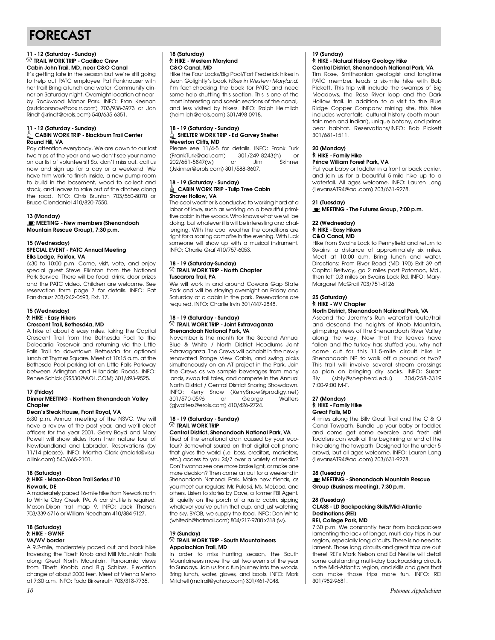# FORECAST

### **11 - 12 (Saturday - Sunday) Cabin John Trail, MD, near C&O Canal**

It's getting late in the season but we're still going to help out PATC employee Pat Fankhauser with her trail! Bring a lunch and water. Community dinner on Saturday night. Overnight location at nearby Rockwood Manor Park. INFO: Fran Keenan (outdoorsnow@cox.rr.com) 703/938-3973 or Jon (outdoorsnow@cox......com) 703/938-3778-31-301.<br>Dindt (ilxindt@orels.com) 540/635-6351 Rindt (jkrindt@erols.com) 540/635-6351.

### **11 - 12 (Saturday - Sunday) Round Hill**, VA

Pay attention everybody. We are down to our last two trips of the year and we don't see your name on our list of volunteers!! So, don't miss out, call us now and sign up for a day or a weekend. We have trim work to finish inside, a new pump room to build in the basement, wood to collect and stack, and leaves to rake out of the ditches along the road. INFO: Chris Brunton 703/560-8070 or the road. Information and the road of the road. Information  $\frac{1}{2}$ Bruce Clendaniel 410/820-7660.

#### 13 (Monday)

**13 (Monday)**<br>**IE** MEETING - New members (Shenandoah) **MEETING - New members (Shenandoah Mountain Rescue Group), 7:30 p.m.**

### **15 (Wednesday) Elks Lodge, Fairfax, VA**

6:30 to 10:00 p.m. Come, visit, vote, and enjoy special quest Steve Elkinton from the National Park Service. There will be food, drink, door prizes and the PATC video. Children are welcome. See reservation form page 7 for details. INFO: Pat reservation form page 7 for details. Information<br>Forsk august 702/040 0602 Fut 17 Fankhausr 703/242-0673/2 $\times$ 1

# **15 (Wednesday)**

#### Crescent Trail, Bethesd4a, MD

A hike of about 6 easy miles, taking the Capital Crescent Trail from the Bethesda Pool to the Dalecarlia Reservoir and returning via the Little Falls Trail to downtown Bethesda for optional lunch at Thymes Square. Meet at 10:15 a.m. at the Bethesda Pool parking lot on Little Falls Parkway between Arlington and Hillandale Roads. INFO: between Arlington and Tillandale Reads. Info:<br>Roboo Sobiek (RS530@AOLCOM) 301/403.0525  $R_{\text{R}}$  and  $R_{\text{R}}$  (research to the only surface  $\sigma$ 

#### **17 (Friday) Dinner MEETING - Northern Shenandoah Valley Chapter**<br>Dean's Steak House, Front Royal, VA

6:30 p.m. Annual meeting of the NSVC. We will have a review of the past vear, and we'll elect officers for the year 2001. Gerry Boyd and Mary Powell will show slides from their nature tour of Newfoundland and Labrador. Reservations (by 11/14 please). INFO: Martha Clark (mclark@visu-11/14 please). Info: Martha Clark (mclark@visu-<br>allink com) 540/665-2101  $a_n$  all  $a_n$  of  $a_n$  or  $a_n$  of  $a_n$  or  $a_n$  or  $a_n$  .

#### **18 (Saturday) HIKE - Mason-Dixon Trail Series #10**

**Newark, DE** to White Clay Creek, PA, A car shuttle is required. to white clay creek, which can shake is required.<br>Mason-Dixon, trail map 9. INFO: Jack Thorsen 703/339-6716 or William Needham 410/884-9127. 703/339-6716 or William Needham 410/884-9127.

### **18 (Saturday) VA/WV** border

A 9.2-mile, moderately paced out and back hike traversing the Tibett Knob and Mill Mountain Trails along Great North Mountain. Panoramic views from Tibett Knobb and Big Schloss. Elevation. change of about 2000 feet. Meet at Vienna Metro at  $7:30$  a.m. INFO: Todd Birkenruth  $703/318-7735$ . at 7:30 a.m. INFO: Todd Birkenruth 703/318-7735.

### **18 (Saturday)** C&O Canal. MD

Hike the Four Locks/Big Pool/Fort Frederick hikes in Jean Golightly's book Hikes in Western Maryland. I'm fact-checking the book for PATC and need some help shuttling this section. This is one of the most interesting and scenic sections of the canal, and less visited by hikers. INFO: Ralph Heimlich and less visited by hikers. In the Heiph Heimlich.<br>(beimlich@orels.com) 201/408-0018  $(n$  for the discrete condition  $(1, 3)$  of  $(3, 1)$ .

### **18 - 19 (Saturday - Sunday) Weverton Cliffs. MD**

Please see 11/4-5 for details. INFO: Frank Turk (Frank Turk@aol.com) 301/249-8243(h) or ( F 102/651-5847(w) or Jim Skinner  $202/651/65$  m  $\frac{301}{16}$  skinner skinner skinner (Jskinner@erols.com) 301/588-8607.

## **18 - 19 (Saturday - Sunday) Shaver Hollow, VA**

The cool weather is conducive to working hard at a labor of love, such as working on a beautiful primitive cabin in the woods. Who knows what we will be doing, but whatever it is will be interesting and challenging. With the cool weather the conditions are right for a roaring campfire in the evening. With luck someone will show up with a musical instrument. sombone will show up with a musical instrument.<br>INEO: Charlie Craf 410/757 6059  $\overline{a}$  is charged  $\overline{b}$  and  $\overline{c}$  and  $\overline{c}$  and  $\overline{c}$  and  $\overline{c}$ 

### **18 - 19 (Saturday-Sunday) Tuscarora Trail, PA**

We will work in and around Cowans Gap State Park and will be staying overnight on Friday and Saturday at a cabin in the park. Reservations are saturaay at a cabin in the park. Reservations are required. In the charlie Irvin 301/447-2848.

### **18 - 19 (Saturday - Sunday) Shenandoah National Park, VA**

November is the month for the Second Annual Blue & White / North District Hoodlums Joint Extravaganza. The Crews will cohabit in the newly renovated Range View Cabin, and swing picks simultaneously on an AT project in the Park. Join the Crews as we sample beverages from many lands, swap tall tales, and compete in the Annual North District / Central District Snoring Showdown. North District / Commandation Showgon Showdown.<br>INEO: Korry Spow (KorrySpow@prodiav.pot) INFO: Kerry Snow (KerrySnow@prodigy.nor)<br>3017570.0506 or Coorde Walters 301/570-05375 or George Manus<br>Caiwalters@erels.com\ 410/496-9794  $(g_j$ malters erols.com)  $f_j$  and  $f_j$  and  $f_j$ 

# **18 - 19 (Saturday - Sunday)**

#### **Central District, Shenandoah National Park, VA**

Tired of the emotional drain caused by your ecotour? Somewhat soured on that digital cell phone that gives the world (i.e. boss, creditors, marketers, etc.) access to you 24/7 over a variety of media? Don't wanna see one more brake light, or make one more decision? Then come on out for a weekend in Shenandoah National Park. Make new friends, as you meet our regulars: Mr. Pulaski, Ms. McLeod, and others. Listen to stories by Dave, a former FBI Agent. Sit quietly on the porch of a rustic cabin, sipping whatever you've put in that cup, and just watching the sky. BYOB, we supply the food. INFO: Don White the sky. BYOB, we supply the food. Info Don White<br>Arhitectb@betmail.com\ 904/917.0700 v210 ArN (whitedh@hotmail.com) 804/217-9700 x318 (w).

#### **19 (Sunday) Appalachian Trail, MD**

In order to miss hunting season, the South Mountaineers move the last two events of the year to Sundays. Join us for a fun journey into the woods. Bring lunch, water, gloves, and boots. INFO: Mark Bring lunch, water, gloves, and boots. Info: Mark Mitchell (mail airc yahoo.com) 301/4617048.

# **19 (Sunday)**

## **Central District, Shenandoah National Park, VA**

Tim Rose, Smithsonian geologist and longtime PATC member, leads a six-mile hike with Bob Pickett. This trip will include the swamps of Big Meadows, the Rose River loop and the Dark Hollow trail. In addition to a visit to the Blue Ridge Copper Company mining site, this hike includes waterfalls, cultural history (both mountain men and Indian), unique botany, and prime bear habitat. Reservations/INFO: Bob Pickett boar habitat. Reservations/INFO: Bob Pickett<br>2017401 IE11 3 0 1 / 6 8 1 - 1 5 1 1 .

# **20 (Monday)**

#### **Prince William Forest Park, VA**

Put your baby or toddler in a front or back carrier, and join us for a beautiful 5-mile hike up to a waterfall. All ages welcome. INFO: Lauren Lang waterfall? In ages welcomer in it of Eduter, Lang  $($ Levans AT Tedenoom) 703/631-7278.

**21 (Tuesday) MEETING - The Futures Group, 7:00 p.m.**

#### 22 (Wednesday) **2** HIKE - Easy Hikers

C&O Canal, MD

Hike from Swains Lock to Pennyfield and return to Swains, a distance of approximately six miles. Meet at 10:00 a.m. Bring lunch and water. Directions: From River Road (MD 190) Exit 39 off Capital Beltway, go 2 miles past Potomac, Md., then left 0.3 miles on Swains Lock Rd. INFO: Marythem left of thirds on Swains Lock Rammar Drinking.<br>Margaret MoCrail 702/751-0104 Margaret McGrail 703/751-8126.

#### 25 (Saturday) **2 HIKE - WV Chapter North District, Shenandoah National Park, VA**

Ascend the Jeremy's Run waterfall route/trail and descend the heights of Knob Mountain, glimpsing views of the Shenandoah River Valley along the way. Now that the leaves have fallen and the turkey has stuffed you, why not come out for this 11.5-mile circuit hike in Shenandoah NP to walk off a pound or two? This trail will involve several stream crossings so plan on bringing dry socks. INFO: Susan Bly (sbly@shepherd.edu) 304/258-3319 Bly (sbly@shophord.lodd) 304/258-3319<br>7.00-0.00 MLE 7:00-9:00 M-F.

### **27 (Monday) Great Falls** MD

4 miles along the Billy Goat Trail and the C & O Canal Towpath. Bundle up your baby or toddler, and come get some exercise and fresh air! Toddlers can walk at the beginning or end of the hike along the towpath. Designed for the under 5 crowd, but all ages welcome. INFO: Lauren Lang crowd, but all ages welcomerning Education Lang  $($ Levans AT $)$  Telescomponity 703/631-7278.

**28 (Tuesday) MEETING - Shenandoah Mountain Rescue Group (Business meeting), 7:30 p.m.**

## **28 (Tuesday) Destinations (REI)**

#### **REI, College Park, MD**

7:30 p.m. We constantly hear from backpackers lamenting the lack of longer, multi-day trips in our region, especially long circuits. There is no need to lament. Those long circuits and great trips are out there! REI's Mark Nelson and Ed Neville will detail some outstanding multi-day backpacking circuits in the Mid-Atlantic region, and skills and gear that can make those trips more fun. INFO: REI 301/982-9681.  $301/252/2001.$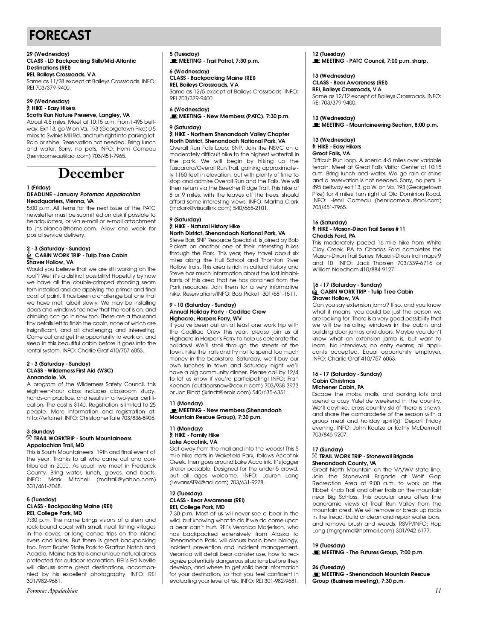# FORECAST

 $R = 7$  30, 379-940.

#### **29 (Wednesday) CLASS - LD Backpacking Skills/Mid-Atlantic**<br>Doctinations (DEI)

**Destinations (REI)** Same as 11/28 except at Baileys Crossroads. INFO: REI 703/379-9400.

#### 29 (Wednesday) *R* HIKE - Easy Hikers **Scotts Run Nature Preserve, Langley, VA**

About 4.5 miles. Meet at 10:15 a.m. From I-495 beltway, Exit 13, ao W on Va. 193 (Georgetown Pike) 0.5 miles to Swinks Mill Rd. and turn right into parking lot. Rain or shine. Reservation not needed. Bring lunch and water. Sorry, no pets. INFO: Henri Comeau and water comp no peter information comedia (henricomeau@aol.com) 703/451-7965.

# **December**

#### **1 (Friday) Headquarters**, Vienna, VA

5:00 p.m. All items for the next issue of the PATC newsletter must be submitted on disk if possible to headquarters, or via e-mail or e-mail attachment to jns-bianca@home.com. Allow one week for to jns-biancae.nom.ooom. Allow one week for postal service delivery.

### **2 - 3 (Saturday - Sunday) Shaver Hollow, VA**

Would you believe that we are still working on the roof? Well it's a distinct possibility! Hopefully by now we have all the double-crimped standing seam tern installed and are applying the primer and final coat of paint. It has been a challenge but one that we have met, albeit slowly. We may be installing doors and windows too now that the roof is on, and chinking can go in now too. There are a thousand tiny details left to finish the cabin, none of which are insignificant, and all challenging and interesting. Come out and get the opportunity to work on, and sleep in this beautiful cabin before it goes into the rental system. INFO: Charlie Graf 410/757-6053. rental system. In the ending erail 410/757-6066.

#### **2 - 3 (Saturday - Sunday) Annandale, VA**

A program of the Wilderness Safety Council, this eighteen-hour class includes classroom study, hands-on practice, and results in a two-vear certification. The cost is \$140. Registration is limited to 25 people. More information and registration at: people. More information and registration at:<br>http://wfa.net.INEO:Christenber.Tate 702/024-0005 http://wia.not.info: Christopher Tate 703/838-8905.

#### **3 (Sunday)**<br> $\oslash$  TRAIL WORKTRIP - South Mountaineers **Appalachian Trail, MD**

This is South Mountaineers' 19th and final event of the year. Thanks to all who came out and contributed in 2000. As usual, we meet in Frederick County. Bring water, lunch, gloves, and boots. County. Bring water, lunch, gloves, and boots. INFO: Mark Mitchell (markane) ancoreoni, 301/461-7048.

### **5 (Tuesday) REI, College Park, MD**

7:30 p.m. The name brings visions of a stern and rock-bound coast with small, neat fishing villages in the coves, or long canoe trips on the inland rivers and lakes. But there is great backpacking too. From Baxter State Park to Grafton Notch and Acadia, Maine has trails and unique natural areas protected for outdoor recreation. REI's Ed Neville will discuss some great destinations, accompanied by his excellent photography. INFO: REI 301/982-9681.

*Potomac Appalachian* 301/982-9681.

## **5 (Tuesday)**

**MEETING - Trail Patrol, 7:30 p.m.**

### **6 (Wednesday) REI, Baileys Crossroads, VA**

Same as 12/5 except at Baileys Crossroads. INFO: Same as 12/5 except at Baileys Crossroads. In Info:<br>DEI 703/370 0400  $R = 7$  30, 379-940.

#### 6 (Wednesday) **6 (Wednesday) MEETING - New Members (PATC), 7:30 p.m.**

# **9 (Saturday)**

**North District, Shenandoah National Park, VA** Overall Run Falls Loop, SNP. Join the NSVC on a moderately difficult hike to the highest waterfall in the park. We will begin by hiking up the Tuscarora/Overall Run Trail, gaining approximately 1150 feet in elevation, but with plenty of time to stop and admire Overall Run and the Falls. We will then return via the Beecher Ridge Trail. This hike of 8 or 9 miles, with the leaves off the trees, should afford some interesting views. INFO: Martha Clark afford some interesting views. Information claim  $(m$ chark  $m$ ddillin inition.com) 540/666 $\pm$ 101.

#### **9 (Saturday) North District, Shenandoah National Park, VA**

Steve Bair, SNP Resource Specialist, is joined by Bob Pickett on another one of their interesting hikes through the Park. This year, they travel about six miles along the Hull School and Thornton River Hollow trails. This area is rich in cultural history and Steve has much information about the last inhabitants of this area that he has obtained from the Park resources. Join them for a very informative Park ressenses. Som morn for a very informative hike. Reservations/INFO: Bob Pickett 301/681-1511.

### **9 - 10 (Saturday - Sunday) Highacre, Harpers Ferry, WV**

If you've been out on at least one work trip with the Cadillac Crew this year, please join us at Highacre in Harper's Ferry to help us celebrate the holidays! We'll stroll through the streets of the town, hike the trails and try not to spend too much money in the bookstore. Saturday, we'll buy our own lunches in town and Saturday night we'll have a big community dinner. Please call by 12/4 to let us know if you're participating! INFO: Fran Keenan (outdoorsnow@cox.rr.com) 703/938-3973 keenan (outdoorsnow elephmoonly 703/703-3773<br>or. lop Dipdt (ikripdt@orok.com) 540/635-6351 or Jon Rindt (jkrindt@erols.com) 540/635-6351.

#### **11 (Monday) MEETING - New members (Shenandoah Mountain Rescue Group), 7:30 p.m.**

### **11 (Monday) Lake Accotink, VA**

**Lake According to the Manufature Manufature According Cet away from the mail and into the woods! This 5** mile hike starts in Wakefield Park, follows Accotink Creek, then goes around Lake Accotink. It's jogger stroller passable. Designed for the under-5 crowd, but all ages welcome. INFO: Lauren Lang but all ages welcomer information Lang  $($  Let van  $\alpha$   $\beta$   $\beta$  componently  $\beta$  conditions  $\alpha$ 

## **12 (Tuesday) REI, College Park, MD**

7:30 p.m. Most of us will never see a bear in the wild, but knowing what to do if we do come upon a bear can't hurt. REI's Veronica Marjerison, who has backpacked extensively from Alaska to Shenandoah Park, will discuss basic bear biology, incident prevention and incident management. Veronica will detail bear canister use, how to recognize potentially dangerous situations before they develop, and where to get solid bear information for your destination, so that you feel confident in for your destination, so that you feel confident int evaluating your level of risk. INFO: REI 301-982-9681.

**12 (TUBERTAY) MEETING - PATC Council, 7:00 p.m. sharp.**

**13 (Wednesday)**

**REI, Baileys Crossroads, VA** Same as 12/12 except at Baileys Crossroads. INFO: Same as 12/12 except at Baileys Crossroads. In Inc.<br>DEL 703 /370 0400  $R = 7$  30, 379-940.

**13 (Wednesday) MEETING - Mountaineering Section, 8:00 p.m.**

**13 (Wednesday) Great Falls**, VA

Difficult Run loop. A scenic 4-5 miles over variable terrain. Meet at Great Falls Visitor Center at 10:15 a.m. Bring lunch and water. We go rain or shine and a reservation is not needed. Sorry, no pets. I-495 beltway exit 13, go W. on Va. 193 (Georgetown Pike) for 4 miles, turn right at Old Dominion Road. Pike) for 4 miles, turn right at Old Dominion Road. INFO: Homi Compau (hormoombaacaol.com)<br>702/451 7045  $7, 30, 10, 7, 7, 80,$ 

### 16 (Saturday)<br><u>© HIKE - Mason-Dixon Trail Series # 1 1</u> **Chadds Ford, PA**

This moderately paced 16-mile hike from White Clay Creek, PA to Chadds Ford completes the Mason-Dixon Trail Series. Mason-Dixon trail maps 9 and 10. INFO: Jack Thorsen 703/339-6716 or William Needham 410/884-9127. William Needham 410/884-9127.

### $\frac{1}{6}$   $\sim$  10  $\mu$  10  $\mu$   $\sim$  10  $\mu$   $\sim$  10  $\mu$   $\sim$  10  $\mu$ **CABIN WORK TRIP - Tulip Tree Cabin.**<br>Wor Hollow MA

**Shaver Hollow, VA** what it means, you could be just the person we are looking for. There is a very good possibility that we will be installing windows in the cabin and building door jambs and doors. Maybe you don't know what an extension jamb is, but want to learn. No interviews; no entry exams; all applicants accepted. Equal opportunity employer. INFO: Charlie Graf 410/757-6053.  $\overline{a}$  in the Grafing Graf  $\overline{a}$  110/757-6055.

#### **16 - 17 (Saturday - Sunday) Michener Cabin, PA**

Escape the mobs, malls, and parking lots and spend a cozy Yuletide weekend in the country. We'll dayhike, cross-country ski (if there is snow), and share the camaraderie of the season with a aroup meal and holiday spirit(s). Depart Friday evening. INFO: John Koutze or Kathy McDermott evening. INFO: John Koutze or Kathy McDermott  $70,000$ 

#### **17 (Sunday) Shenandoah County, VA Shonandoan County, VA**<br>Croat North Mountain

Great North Mountain on the VA/WV state line. Recreation Area at 9:00 a.m. to work on the Tibbet Knob Trail and other trails on the mountain near Big Schloss. This popular area offers fine panoramic views of Trout Run Valley from the mountain crest. We will remove or break up rocks in the tread, build or clean and repair water bars, and remove brush and weeds. RSVP/INFO: Hop and remove brush and weeds. Rev. Jim of Hop<br>Long (maranmd@hotmail.com) 301 /049 6177 Long (mgrgnmd@hotmail.com) 301/942-6177.

**19 (Tuesday) MEETING - The Futures Group, 7:00 p.m.**

**26 (Tuesday) MEETING - Shenandoah Mountain Rescue Group (Business meeting), 7:30 p.m.**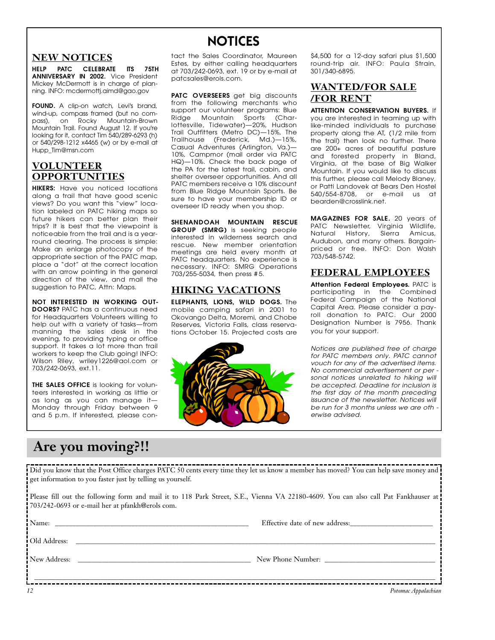# NOTICES

### **NEW NOTICES**

**HELP PATC CELEBRATE ITS 75TH<br>ANNIVERSARY IN 2002.** Vice President Mickey McDermott is in charge of planmickey McDemott is in charge of plan-<br>Dina-INEO: modermotti aimd@aao aov ning. Information.com/aimd@gao.gov

**FOUND.** A clip-on watch, Levi's brand, wind-up, compass framed (but no compass), on Rocky Mountain-Brown pass), on Rocky Mountain-Bro w n Mountain Trail. Found August 12. If you're looking for it, contact Tim 540/289-6293 (h)<br>or 540/298-1212 x4465 (w) or by e-mail at or 540/298-1212 x4465 (w) or by e-mail at  $H = \frac{1}{2}$ 

## **VOLUNTEER OPPORTUNITIES**

**HIKERS:** Have you noticed locations<br>along a trail that have good scenic views? Do you want this "view" location labeled on PATC hiking maps so future hikers can better plan their trips? It is best that the viewpoint is noticeable from the trail and is a yearround clearing. The process is simple: Make an enlarge photocopy of the appropriate section of the PATC map, place a "dot" at the correct location with an arrow pointing in the general direction of the view, and mail the all sensor of the view, and mail the<br>suggestion to PATC Attn: Mans suggestion to PATC, Attn: Maps.

**NOT INTERESTED IN WORKING OUT-<br><b>DOORS**? PATC has a continuous need for Headquarters Volunteers willing to help out with a variety of tasks-from manning the sales desk in the evening, to providing typing or office support. It takes a lot more than trail workers to keep the Club going! INFO: woment to up the Club going! International compare Wilson Riley, writey 1226 aoi.com or<br>703/242-0603 | evt 11 703/242-0693, ext.11.

**THE SALES OFFICE** is looking for volun-<br>teers interested in working as little or as long as you can manage it-Monday through Friday between 9 monday impagn filedy between 9 and 5 p.m. If interested, please contact the Sales Coordinator, Maureen<br>Estes, by either calling headquarters at  $703/242$ -0693, ext. 19 or by e-mail at at 703/242-0693, ext. 19 or by e-mail at  $p$  a researce e ro lore c . . . .

**PATC OVERSEERS** get big discounts from the following merchants who support our volunteer programs: Blue Ridge Mountain Sports (Char-Iottesville, Tidewater)-20%, Hudson Trail Outfitters (Metro DC)-15%, The Trailhouse (Frederick, Md.)-15%, Casual Adventures (Arlington, Va.)— 10%, Campmor (mail order via PATC HQ)-10%. Check the back page of the PA for the latest trail, cabin, and shelter overseer opportunities. And all PATC members receive a 10% discount from Blue Ridge Mountain Sports. Be sure to have your membership ID or sare to have your membership ID or overseer ID ready when you shop.

**SHENANDOAH MOUNTAIN RESCUE** interested in wilderness search and rescue. New member orientation meetings are held every month at PATC headquarters. No experience is necessary. INFO: SMRG Operations necessary. Informations operations  $703/255.5034, \text{m}$   $\frac{1}{200}$ 

## **HIKING VACATIONS**

**ELEPHANTS, LIONS, WILD DOGS.** The mobile camping safari in 2001 to Okovango Delta, Moremi, and Chobe Reserves, Victoria Falls, class reserva-Reserves, Victoria Falls, class reserva<br>Hons October 15 Projected costs are



\$4,500 for a 12-day safari plus \$1,500<br>round-trip air. INFO: Paula Strain, 301/340-6895. 3 0 1 / 3 4 0 - 6 8 9 5 .

## **WANTED/FOR SALE /FOR RENT**

**ATTENTION CONSERVATION BUYERS.** If you are interested in teaming up with like-minded individuals to purchase property along the AT, (1/2 mile from the trail) then look no further. There are 200+ acres of beautiful pasture and forested property in Bland, Virginia, at the base of Big Walker Mountain. If you would like to discuss this further, please call Melody Blaney, or Patti Landovek at Bears Den Hostel 540/554-8708, or e-mail us at bearden@crosslink.net.

**MAGAZINES FOR SALE.** 20 years of Natural History, Sierra Amicus, Audubon, and many others. Bargain-Audubon, and many ombit Bargain priced or free. Info: Don Walen<br>703/5/8-57/2 703/548-5742.

### **F E D E R A L E M P L O Y E E S**

**Attention Federal Employees.** PATC is<br>participating in the Combined Federal Campaign of the National Capital Area. Please consider a payroll donation to PATC. Our 2000 Designation Number is 7956. Thank vou for your support. you for your support.

*Notices are published free of charge for PATC members only. PATC cannot for any of the advertised items. No commercial advertisement or per* sonal notices unrelated to hiking will be accepted. Deadline for inclusion is the first day of the month preceding *issuance of the newsletter. Notices will* be run for 3 months unless we are oth *berwise advised. erwise advised.*

# **Are you moving?!!**

Did you know that the Post Office charges PATC 50 cents every time they let us know a member has moved? You can help save money and get information to you faster just by telling us yourself.

Please fill out the following form and mail it to 118 Park Street, S.E., Vienna VA 22180-4609. You can also call Pat Fankhauser at 703/242-0693 or e-mail her at pfankh@erols com.

\_\_\_\_\_\_\_\_\_\_\_\_\_\_\_\_\_\_\_\_\_\_\_\_\_\_\_\_\_\_\_\_\_\_\_\_\_\_\_\_\_\_\_\_\_\_\_\_\_\_\_\_\_\_\_\_\_\_\_\_\_\_\_\_\_\_\_\_\_\_\_\_\_\_\_\_\_\_\_\_\_\_\_\_\_\_\_\_\_\_\_\_\_\_\_\_\_\_\_\_\_\_\_\_\_\_\_\_\_\_\_\_\_\_\_\_

Name: \_\_\_\_\_\_\_\_\_\_\_\_\_\_\_\_\_\_\_\_\_\_\_\_\_\_\_\_\_\_\_\_\_\_\_\_\_\_\_\_\_\_\_\_\_\_\_\_\_\_\_\_\_\_\_\_ Effective date of new address:\_\_\_\_\_\_\_\_\_\_\_\_\_\_\_\_\_\_\_\_\_\_\_\_

Old Address:

New Address: \_\_\_\_\_\_\_\_\_\_\_\_\_\_\_\_\_\_\_\_\_\_\_\_\_\_\_\_\_\_\_\_\_\_\_\_\_\_\_\_\_\_\_\_\_\_\_\_\_\_ New Phone Number: \_\_\_\_\_\_\_\_\_\_\_\_\_\_\_\_\_\_\_\_\_\_\_\_\_\_\_\_\_\_\_\_

*12 Potomac Appalachian*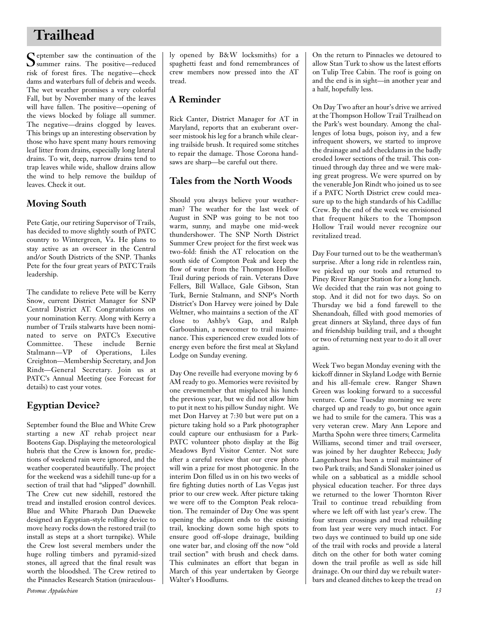# **Trailhead**

September saw the continuation of the<br>
Summer rains. The positive—reduced summer rains. The positive—reduced risk of forest fires. The negative—check dams and waterbars full of debris and weeds. The wet weather promises a very colorful Fall, but by November many of the leaves will have fallen. The positive—opening of the views blocked by foliage all summer. The negative—drains clogged by leaves. This brings up an interesting observation by those who have spent many hours removing leaf litter from drains, especially long lateral drains. To wit, deep, narrow drains tend to trap leaves while wide, shallow drains allow the wind to help remove the buildup of leaves. Check it out.

## **Moving South**

Pete Gatje, our retiring Supervisor of Trails, has decided to move slightly south of PATC country to Wintergreen, Va. He plans to stay active as an overseer in the Central and/or South Districts of the SNP. Thanks Pete for the four great years of PATC Trails leadership.

The candidate to relieve Pete will be Kerry Snow, current District Manager for SNP Central District AT. Congratulations on your nomination Kerry. Along with Kerry a number of Trails stalwarts have been nominated to serve on PATC's Executive Committee. These include Bernie Stalmann—VP of Operations, Liles Creighton—Membership Secretary, and Jon Rindt-General Secretary. Join us at PATC's Annual Meeting (see Forecast for details) to cast your votes.

## **Egyptian Device?**

September found the Blue and White Crew starting a new AT rehab project near Bootens Gap. Displaying the meteorological hubris that the Crew is known for, predictions of weekend rain were ignored, and the weather cooperated beautifully. The project for the weekend was a sidehill tune-up for a section of trail that had "slipped" downhill. The Crew cut new sidehill, restored the tread and installed erosion control devices. Blue and White Pharaoh Dan Dueweke designed an Egyptian-style rolling device to move heavy rocks down the restored trail (to install as steps at a short turnpike). While the Crew lost several members under the huge rolling timbers and pyramid-sized stones, all agreed that the final result was worth the bloodshed. The Crew retired to the Pinnacles Research Station (miraculously opened by B&W locksmiths) for a spaghetti feast and fond remembrances of crew members now pressed into the AT tread.

## **A Reminder**

Rick Canter, District Manager for AT in Maryland, reports that an exuberant overseer mistook his leg for a branch while clearing trailside brush. It required some stitches to repair the damage. Those Corona handsaws are sharp—be careful out there.

### **Tales from the North Woods**

Should you always believe your weatherman? The weather for the last week of August in SNP was going to be not too warm, sunny, and maybe one mid-week thundershower. The SNP North District Summer Crew project for the first week was two-fold: finish the AT relocation on the south side of Compton Peak and keep the flow of water from the Thompson Hollow Trail during periods of rain. Veterans Dave Fellers, Bill Wallace, Gale Gibson, Stan Turk, Bernie Stalmann, and SNP's North District's Don Harvey were joined by Dale Weltner, who maintains a section of the AT close to Ashby's Gap, and Ralph Garboushian, a newcomer to trail maintenance. This experienced crew exuded lots of energy even before the first meal at Skyland Lodge on Sunday evening.

Day One reveille had everyone moving by 6 AM ready to go. Memories were revisited by one crewmember that misplaced his lunch the previous year, but we did not allow him to put it next to his pillow Sunday night. We met Don Harvey at 7:30 but were put on a picture taking hold so a Park photographer could capture our enthusiasm for a Park-PATC volunteer photo display at the Big Meadows Byrd Visitor Center. Not sure after a careful review that our crew photo will win a prize for most photogenic. In the interim Don filled us in on his two weeks of fire fighting duties north of Las Vegas just prior to our crew week. After picture taking we were off to the Compton Peak relocation. The remainder of Day One was spent opening the adjacent ends to the existing trail, knocking down some high spots to ensure good off-slope drainage, building one water bar, and closing off the now "old trail section" with brush and check dams. This culminates an effort that began in March of this year undertaken by George Walter's Hoodlums.

On the return to Pinnacles we detoured to allow Stan Turk to show us the latest efforts on Tulip Tree Cabin. The roof is going on and the end is in sight—in another year and a half, hopefully less.

On Day Two after an hour's drive we arrived at the Thompson Hollow Trail Trailhead on the Park's west boundary. Among the challenges of lotsa bugs, poison ivy, and a few infrequent showers, we started to improve the drainage and add checkdams in the badly eroded lower sections of the trail. This continued through day three and we were making great progress. We were spurred on by the venerable Jon Rindt who joined us to see if a PATC North District crew could measure up to the high standards of his Cadillac Crew. By the end of the week we envisioned that frequent hikers to the Thompson Hollow Trail would never recognize our revitalized tread.

Day Four turned out to be the weatherman's surprise. After a long ride in relentless rain, we picked up our tools and returned to Piney River Ranger Station for a long lunch. We decided that the rain was not going to stop. And it did not for two days. So on Thursday we bid a fond farewell to the Shenandoah, filled with good memories of great dinners at Skyland, three days of fun and friendship building trail, and a thought or two of returning next year to do it all over again.

Week Two began Monday evening with the kickoff dinner in Skyland Lodge with Bernie and his all-female crew. Ranger Shawn Green was looking forward to a successful venture. Come Tuesday morning we were charged up and ready to go, but once again we had to smile for the camera. This was a very veteran crew. Mary Ann Lepore and Martha Spohn were three timers; Carmelita Williams, second timer and trail overseer, was joined by her daughter Rebecca; Judy Langenhorst has been a trail maintainer of two Park trails; and Sandi Slonaker joined us while on a sabbatical as a middle school physical education teacher. For three days we returned to the lower Thornton River Trail to continue tread rebuilding from where we left off with last year's crew. The four stream crossings and tread rebuilding from last year were very much intact. For two days we continued to build up one side of the trail with rocks and provide a lateral ditch on the other for both water coming down the trail profile as well as side hill drainage. On our third day we rebuilt waterbars and cleaned ditches to keep the tread on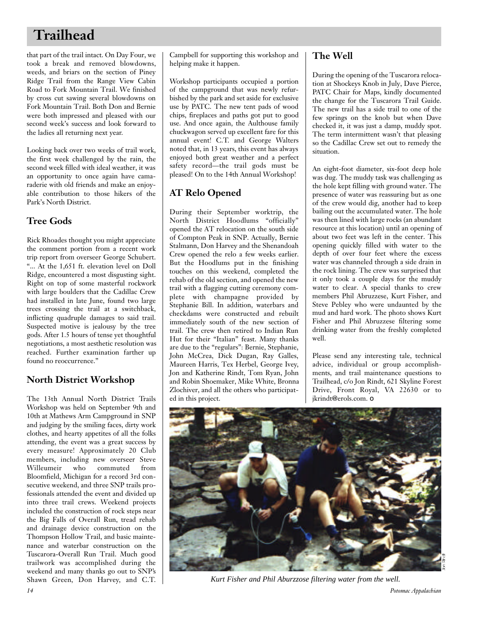# **Trailhead**

that part of the trail intact. On Day Four, we took a break and removed blowdowns, weeds, and briars on the section of Piney Ridge Trail from the Range View Cabin Road to Fork Mountain Trail. We finished by cross cut sawing several blowdowns on Fork Mountain Trail. Both Don and Bernie were both impressed and pleased with our second week's success and look forward to the ladies all returning next year.

Looking back over two weeks of trail work, the first week challenged by the rain, the second week filled with ideal weather, it was an opportunity to once again have camaraderie with old friends and make an enjoyable contribution to those hikers of the Park's North District.

## **Tree Gods**

Rick Rhoades thought you might appreciate the comment portion from a recent work trip report from overseer George Schubert. "... At the 1,651 ft. elevation level on Doll Ridge, encountered a most disgusting sight. Right on top of some masterful rockwork with large boulders that the Cadillac Crew had installed in late June, found two large trees crossing the trail at a switchback, inflicting quadruple damages to said trail. Suspected motive is jealousy by the tree gods. After 1.5 hours of tense yet thoughtful negotiations, a most aesthetic resolution was reached. Further examination farther up found no reoccurrence."

## **North District Workshop**

The 13th Annual North District Trails Workshop was held on September 9th and 10th at Mathews Arm Campground in SNP and judging by the smiling faces, dirty work clothes, and hearty appetites of all the folks attending, the event was a great success by every measure! Approximately 20 Club members, including new overseer Steve Willeumeir who commuted from Bloomfield, Michigan for a record 3rd consecutive weekend, and three SNP trails professionals attended the event and divided up into three trail crews. Weekend projects included the construction of rock steps near the Big Falls of Overall Run, tread rehab and drainage device construction on the Thompson Hollow Trail, and basic maintenance and waterbar construction on the Tuscarora-Overall Run Trail. Much good trailwork was accomplished during the weekend and many thanks go out to SNP's Shawn Green, Don Harvey, and C.T. *14 Potomac Appalachian*

Campbell for supporting this workshop and helping make it happen.

Workshop participants occupied a portion of the campground that was newly refurbished by the park and set aside for exclusive use by PATC. The new tent pads of wood chips, fireplaces and paths got put to good use. And once again, the Aulthouse family chuckwagon served up excellent fare for this annual event! C.T. and George Walters noted that, in 13 years, this event has always enjoyed both great weather and a perfect safety record—the trail gods must be pleased! On to the 14th Annual Workshop!

## **AT Relo Opened**

During their September worktrip, the North District Hoodlums "officially" opened the AT relocation on the south side of Compton Peak in SNP. Actually, Bernie Stalmann, Don Harvey and the Shenandoah Crew opened the relo a few weeks earlier. But the Hoodlums put in the finishing touches on this weekend, completed the rehab of the old section, and opened the new trail with a flagging cutting ceremony complete with champagne provided by Stephanie Bill. In addition, waterbars and checkdams were constructed and rebuilt immediately south of the new section of trail. The crew then retired to Indian Run Hut for their "Italian" feast. Many thanks are due to the "regulars": Bernie, Stephanie, John McCrea, Dick Dugan, Ray Galles, Maureen Harris, Tex Herbel, George Ivey, Jon and Katherine Rindt, Tom Ryan, John and Robin Shoemaker, Mike White, Bronna Zlochiver, and all the others who participated in this project.

### **The Well**

During the opening of the Tuscarora relocation at Shockeys Knob in July, Dave Pierce, PATC Chair for Maps, kindly documented the change for the Tuscarora Trail Guide. The new trail has a side trail to one of the few springs on the knob but when Dave checked it, it was just a damp, muddy spot. The term intermittent wasn't that pleasing so the Cadillac Crew set out to remedy the situation.

An eight-foot diameter, six-foot deep hole was dug. The muddy task was challenging as the hole kept filling with ground water. The presence of water was reassuring but as one of the crew would dig, another had to keep bailing out the accumulated water. The hole was then lined with large rocks (an abundant resource at this location) until an opening of about two feet was left in the center. This opening quickly filled with water to the depth of over four feet where the excess water was channeled through a side drain in the rock lining. The crew was surprised that it only took a couple days for the muddy water to clear. A special thanks to crew members Phil Abruzzese, Kurt Fisher, and Steve Pebley who were undaunted by the mud and hard work. The photo shows Kurt Fisher and Phil Abruzzese filtering some drinking water from the freshly completed well.

Please send any interesting tale, technical advice, individual or group accomplishments, and trail maintenance questions to Trailhead, c/o Jon Rindt, 621 Skyline Forest Drive, Front Royal, VA 22630 or to jkrindt@erols.com. ❏



*Kurt Fisher and Phil Aburzzose filtering water from the well.*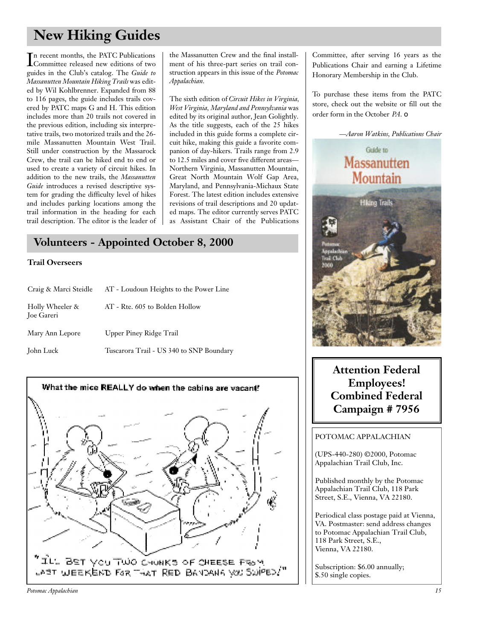# **New Hiking Guides**

In recent months, the PATC Publications<br>Committee released new editions of two n recent months, the PATC Publications guides in the Club's catalog. The *Guide to Massanutten Mountain Hiking Trails* was edited by Wil Kohlbrenner. Expanded from 88 to 116 pages, the guide includes trails covered by PATC maps G and H. This edition includes more than 20 trails not covered in the previous edition, including six interpretative trails, two motorized trails and the 26 mile Massanutten Mountain West Trail. Still under construction by the Massarock Crew, the trail can be hiked end to end or used to create a variety of circuit hikes. In addition to the new trails, the *Massanutten Guide* introduces a revised descriptive system for grading the difficulty level of hikes and includes parking locations among the trail information in the heading for each trail description. The editor is the leader of

the Massanutten Crew and the final installment of his three-part series on trail construction appears in this issue of the *Potomac Appalachian.*

The sixth edition of *Circuit Hikes in Virginia, West Virginia, Maryland and Pennsylvania* was edited by its original author, Jean Golightly. As the title suggests, each of the 25 hikes included in this guide forms a complete circuit hike, making this guide a favorite companion of day-hikers. Trails range from 2.9 to 12.5 miles and cover five different areas— Northern Virginia, Massanutten Mountain, Great North Mountain Wolf Gap Area, Maryland, and Pennsylvania-Michaux State Forest. The latest edition includes extensive revisions of trail descriptions and 20 updated maps. The editor currently serves PATC as Assistant Chair of the Publications

## **Volunteers - Appointed October 8, 2000**

#### **Trail Overseers**

| Craig & Marci Steidle                | AT - Loudoun Heights to the Power Line   |
|--------------------------------------|------------------------------------------|
| Holly Wheeler &<br><b>Joe Gareri</b> | AT - Rte. 605 to Bolden Hollow           |
| Mary Ann Lepore                      | Upper Piney Ridge Trail                  |
| John Luck                            | Tuscarora Trail - US 340 to SNP Boundary |



Committee, after serving 16 years as the Publications Chair and earning a Lifetime Honorary Membership in the Club.

To purchase these items from the PATC store, check out the website or fill out the order form in the October *PA*. ❏



**Attention Federal Employees! Combined Federal Campaign # 7956**

#### POTOMAC APPALACHIAN

(UPS-440-280) ©2000, Potomac Appalachian Trail Club, Inc.

Published monthly by the Potomac Appalachian Trail Club, 118 Park Street, S.E., Vienna, VA 22180.

Periodical class postage paid at Vienna, VA. Postmaster: send address changes to Potomac Appalachian Trail Club, 118 Park Street, S.E., Vienna, VA 22180.

Subscription: \$6.00 annually; \$.50 single copies.